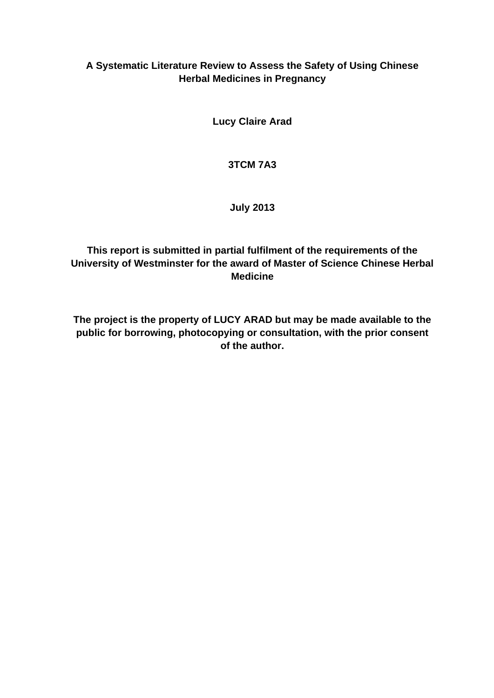# **A Systematic Literature Review to Assess the Safety of Using Chinese Herbal Medicines in Pregnancy**

**Lucy Claire Arad**

### **3TCM 7A3**

### **July 2013**

# **This report is submitted in partial fulfilment of the requirements of the University of Westminster for the award of Master of Science Chinese Herbal Medicine**

**The project is the property of LUCY ARAD but may be made available to the public for borrowing, photocopying or consultation, with the prior consent of the author.**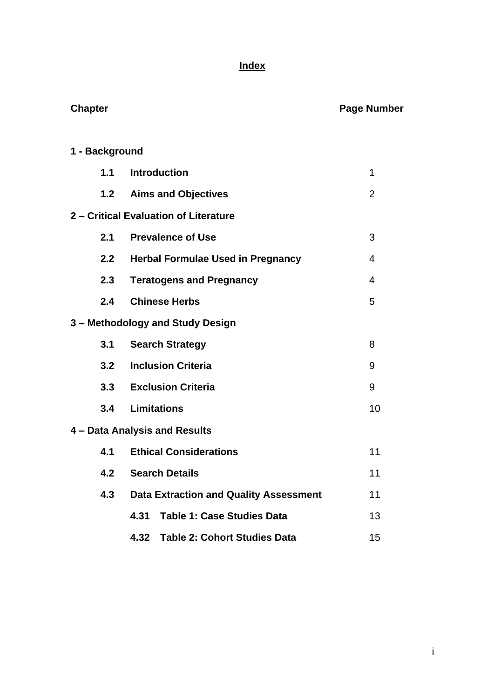# **Index**

**Chapter Chapter Chapter Chapter Chapter Chapter Chapter Chapter Chapter Chapter Chapter Chapter Chapter Chapter** 

| 1 - Background |                                               |                |
|----------------|-----------------------------------------------|----------------|
| 1.1            | <b>Introduction</b>                           | 1              |
| 1.2            | <b>Aims and Objectives</b>                    | $\overline{2}$ |
|                | 2 - Critical Evaluation of Literature         |                |
| 2.1            | <b>Prevalence of Use</b>                      | 3              |
| 2.2            | <b>Herbal Formulae Used in Pregnancy</b>      | 4              |
| 2.3            | <b>Teratogens and Pregnancy</b>               | 4              |
| 2.4            | <b>Chinese Herbs</b>                          | 5              |
|                | 3 - Methodology and Study Design              |                |
| 3.1            | <b>Search Strategy</b>                        | 8              |
| 3.2            | <b>Inclusion Criteria</b>                     | 9              |
|                | 3.3 Exclusion Criteria                        | 9              |
| 3.4            | <b>Limitations</b>                            | 10             |
|                | 4 - Data Analysis and Results                 |                |
| 4.1            | <b>Ethical Considerations</b>                 | 11             |
| 4.2            | <b>Search Details</b>                         | 11             |
| 4.3            | <b>Data Extraction and Quality Assessment</b> | 11             |
|                | 4.31<br><b>Table 1: Case Studies Data</b>     | 13             |
|                | 4.32<br><b>Table 2: Cohort Studies Data</b>   | 15             |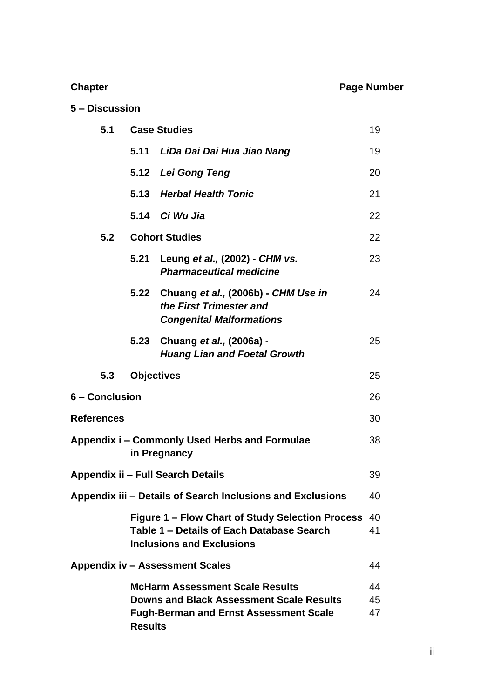# **Chapter Chapter Chapter Chapter Chapter Chapter Chapter Page Number**

# **5 – Discussion**

| 5.1               | <b>Case Studies</b> |                                                                                                                                            |                |  |
|-------------------|---------------------|--------------------------------------------------------------------------------------------------------------------------------------------|----------------|--|
|                   | 5.11                | LiDa Dai Dai Hua Jiao Nang                                                                                                                 | 19             |  |
|                   | 5.12                | Lei Gong Teng                                                                                                                              | 20             |  |
|                   | 5.13                | <b>Herbal Health Tonic</b>                                                                                                                 | 21             |  |
|                   |                     | 5.14 Ci Wu Jia                                                                                                                             | 22             |  |
| 5.2               |                     | <b>Cohort Studies</b>                                                                                                                      | 22             |  |
|                   |                     | 5.21 Leung et al., (2002) - CHM vs.<br><b>Pharmaceutical medicine</b>                                                                      | 23             |  |
|                   | 5.22                | Chuang et al., (2006b) - CHM Use in<br>the First Trimester and<br><b>Congenital Malformations</b>                                          | 24             |  |
|                   | 5.23                | Chuang et al., (2006a) -<br><b>Huang Lian and Foetal Growth</b>                                                                            | 25             |  |
| 5.3               | <b>Objectives</b>   |                                                                                                                                            | 25             |  |
| 6 - Conclusion    |                     |                                                                                                                                            | 26             |  |
| <b>References</b> |                     |                                                                                                                                            | 30             |  |
|                   |                     | Appendix i – Commonly Used Herbs and Formulae<br>in Pregnancy                                                                              | 38             |  |
|                   |                     | Appendix ii – Full Search Details                                                                                                          | 39             |  |
|                   |                     | Appendix iii - Details of Search Inclusions and Exclusions                                                                                 | 40             |  |
|                   |                     | Figure 1 – Flow Chart of Study Selection Process<br>Table 1 – Details of Each Database Search<br><b>Inclusions and Exclusions</b>          | 40<br>41       |  |
|                   |                     | <b>Appendix iv - Assessment Scales</b>                                                                                                     | 44             |  |
|                   | <b>Results</b>      | <b>McHarm Assessment Scale Results</b><br><b>Downs and Black Assessment Scale Results</b><br><b>Fugh-Berman and Ernst Assessment Scale</b> | 44<br>45<br>47 |  |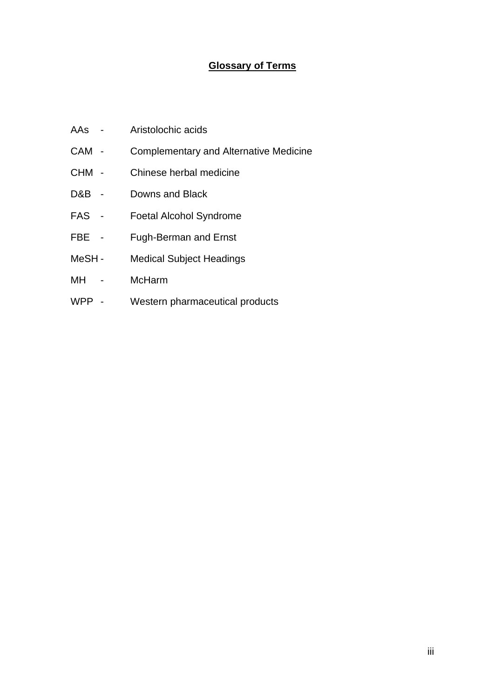# **Glossary of Terms**

- AAs Aristolochic acids
- CAM Complementary and Alternative Medicine
- CHM Chinese herbal medicine
- D&B Downs and Black
- FAS Foetal Alcohol Syndrome
- FBE Fugh-Berman and Ernst
- MeSH Medical Subject Headings
- MH McHarm
- WPP Western pharmaceutical products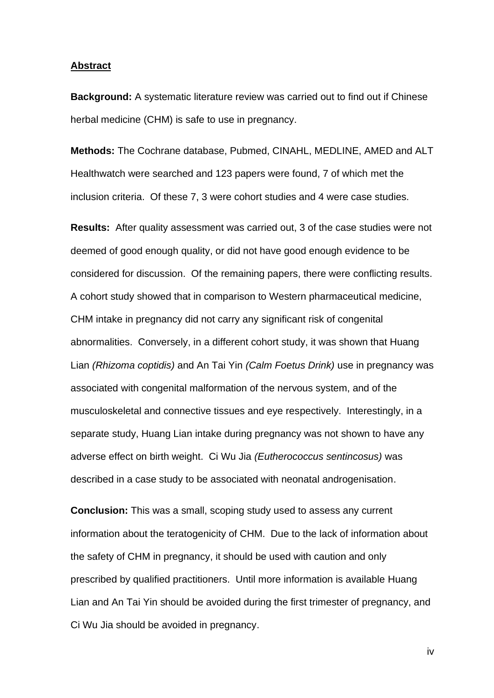#### **Abstract**

**Background:** A systematic literature review was carried out to find out if Chinese herbal medicine (CHM) is safe to use in pregnancy.

**Methods:** The Cochrane database, Pubmed, CINAHL, MEDLINE, AMED and ALT Healthwatch were searched and 123 papers were found, 7 of which met the inclusion criteria. Of these 7, 3 were cohort studies and 4 were case studies.

**Results:** After quality assessment was carried out, 3 of the case studies were not deemed of good enough quality, or did not have good enough evidence to be considered for discussion. Of the remaining papers, there were conflicting results. A cohort study showed that in comparison to Western pharmaceutical medicine, CHM intake in pregnancy did not carry any significant risk of congenital abnormalities. Conversely, in a different cohort study, it was shown that Huang Lian *(Rhizoma coptidis)* and An Tai Yin *(Calm Foetus Drink)* use in pregnancy was associated with congenital malformation of the nervous system, and of the musculoskeletal and connective tissues and eye respectively. Interestingly, in a separate study, Huang Lian intake during pregnancy was not shown to have any adverse effect on birth weight. Ci Wu Jia *(Eutherococcus sentincosus)* was described in a case study to be associated with neonatal androgenisation.

**Conclusion:** This was a small, scoping study used to assess any current information about the teratogenicity of CHM. Due to the lack of information about the safety of CHM in pregnancy, it should be used with caution and only prescribed by qualified practitioners. Until more information is available Huang Lian and An Tai Yin should be avoided during the first trimester of pregnancy, and Ci Wu Jia should be avoided in pregnancy.

iv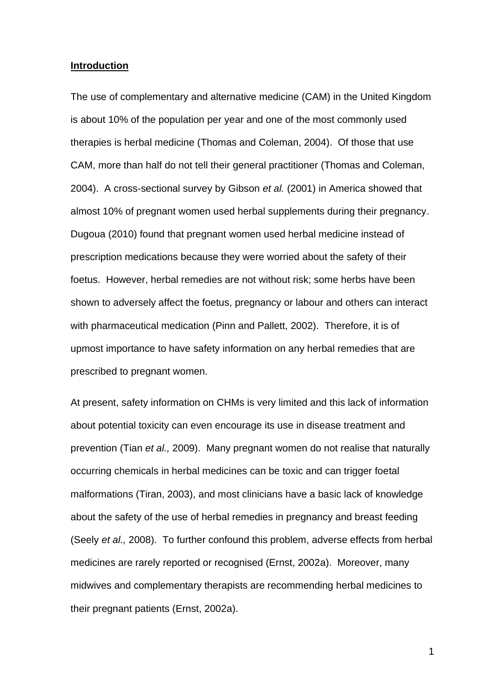#### **Introduction**

The use of complementary and alternative medicine (CAM) in the United Kingdom is about 10% of the population per year and one of the most commonly used therapies is herbal medicine (Thomas and Coleman, 2004). Of those that use CAM, more than half do not tell their general practitioner (Thomas and Coleman, 2004). A cross-sectional survey by Gibson *et al.* (2001) in America showed that almost 10% of pregnant women used herbal supplements during their pregnancy. Dugoua (2010) found that pregnant women used herbal medicine instead of prescription medications because they were worried about the safety of their foetus. However, herbal remedies are not without risk; some herbs have been shown to adversely affect the foetus, pregnancy or labour and others can interact with pharmaceutical medication (Pinn and Pallett, 2002). Therefore, it is of upmost importance to have safety information on any herbal remedies that are prescribed to pregnant women.

At present, safety information on CHMs is very limited and this lack of information about potential toxicity can even encourage its use in disease treatment and prevention (Tian *et al.,* 2009). Many pregnant women do not realise that naturally occurring chemicals in herbal medicines can be toxic and can trigger foetal malformations (Tiran, 2003), and most clinicians have a basic lack of knowledge about the safety of the use of herbal remedies in pregnancy and breast feeding (Seely *et al.,* 2008). To further confound this problem, adverse effects from herbal medicines are rarely reported or recognised (Ernst, 2002a). Moreover, many midwives and complementary therapists are recommending herbal medicines to their pregnant patients (Ernst, 2002a).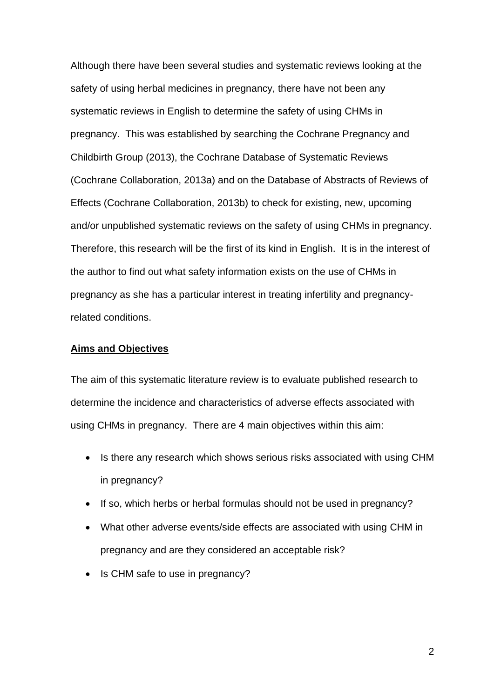Although there have been several studies and systematic reviews looking at the safety of using herbal medicines in pregnancy, there have not been any systematic reviews in English to determine the safety of using CHMs in pregnancy. This was established by searching the Cochrane Pregnancy and Childbirth Group (2013), the Cochrane Database of Systematic Reviews (Cochrane Collaboration, 2013a) and on the Database of Abstracts of Reviews of Effects (Cochrane Collaboration, 2013b) to check for existing, new, upcoming and/or unpublished systematic reviews on the safety of using CHMs in pregnancy. Therefore, this research will be the first of its kind in English. It is in the interest of the author to find out what safety information exists on the use of CHMs in pregnancy as she has a particular interest in treating infertility and pregnancyrelated conditions.

#### **Aims and Objectives**

The aim of this systematic literature review is to evaluate published research to determine the incidence and characteristics of adverse effects associated with using CHMs in pregnancy. There are 4 main objectives within this aim:

- Is there any research which shows serious risks associated with using CHM in pregnancy?
- If so, which herbs or herbal formulas should not be used in pregnancy?
- What other adverse events/side effects are associated with using CHM in pregnancy and are they considered an acceptable risk?
- Is CHM safe to use in pregnancy?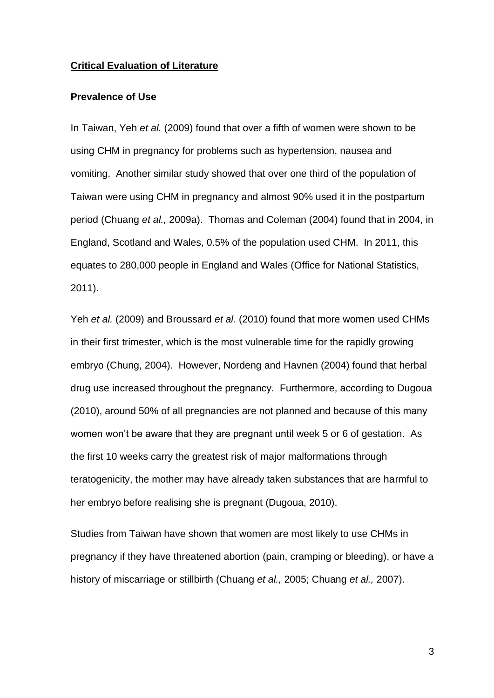#### **Critical Evaluation of Literature**

#### **Prevalence of Use**

In Taiwan, Yeh *et al.* (2009) found that over a fifth of women were shown to be using CHM in pregnancy for problems such as hypertension, nausea and vomiting. Another similar study showed that over one third of the population of Taiwan were using CHM in pregnancy and almost 90% used it in the postpartum period (Chuang *et al.,* 2009a). Thomas and Coleman (2004) found that in 2004, in England, Scotland and Wales, 0.5% of the population used CHM. In 2011, this equates to 280,000 people in England and Wales (Office for National Statistics, 2011).

Yeh *et al.* (2009) and Broussard *et al.* (2010) found that more women used CHMs in their first trimester, which is the most vulnerable time for the rapidly growing embryo (Chung, 2004).However, Nordeng and Havnen (2004) found that herbal drug use increased throughout the pregnancy. Furthermore, according to Dugoua (2010), around 50% of all pregnancies are not planned and because of this many women won't be aware that they are pregnant until week 5 or 6 of gestation. As the first 10 weeks carry the greatest risk of major malformations through teratogenicity, the mother may have already taken substances that are harmful to her embryo before realising she is pregnant (Dugoua, 2010).

Studies from Taiwan have shown that women are most likely to use CHMs in pregnancy if they have threatened abortion (pain, cramping or bleeding), or have a history of miscarriage or stillbirth (Chuang *et al.,* 2005; Chuang *et al.,* 2007).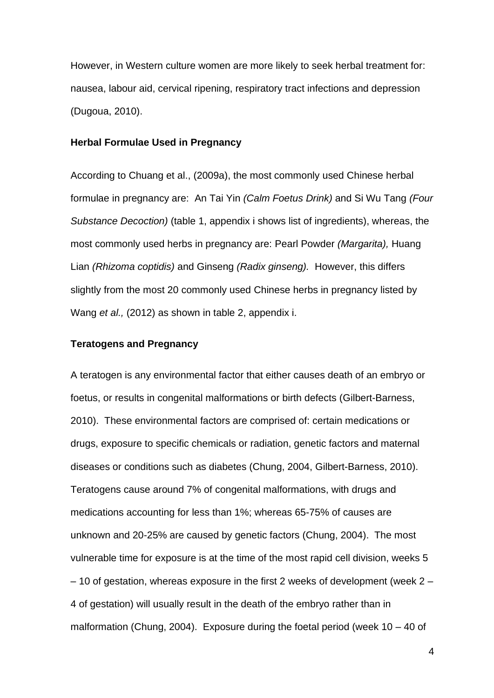However, in Western culture women are more likely to seek herbal treatment for: nausea, labour aid, cervical ripening, respiratory tract infections and depression (Dugoua, 2010).

#### **Herbal Formulae Used in Pregnancy**

According to Chuang et al., (2009a), the most commonly used Chinese herbal formulae in pregnancy are: An Tai Yin *(Calm Foetus Drink)* and Si Wu Tang *(Four Substance Decoction)* (table 1, appendix i shows list of ingredients), whereas, the most commonly used herbs in pregnancy are: Pearl Powder *(Margarita),* Huang Lian *(Rhizoma coptidis)* and Ginseng *(Radix ginseng).* However, this differs slightly from the most 20 commonly used Chinese herbs in pregnancy listed by Wang *et al.,* (2012) as shown in table 2, appendix i.

#### **Teratogens and Pregnancy**

A teratogen is any environmental factor that either causes death of an embryo or foetus, or results in congenital malformations or birth defects (Gilbert-Barness, 2010). These environmental factors are comprised of: certain medications or drugs, exposure to specific chemicals or radiation, genetic factors and maternal diseases or conditions such as diabetes (Chung, 2004, Gilbert-Barness, 2010). Teratogens cause around 7% of congenital malformations, with drugs and medications accounting for less than 1%; whereas 65-75% of causes are unknown and 20-25% are caused by genetic factors (Chung, 2004). The most vulnerable time for exposure is at the time of the most rapid cell division, weeks 5 – 10 of gestation, whereas exposure in the first 2 weeks of development (week 2 – 4 of gestation) will usually result in the death of the embryo rather than in malformation (Chung, 2004). Exposure during the foetal period (week  $10 - 40$  of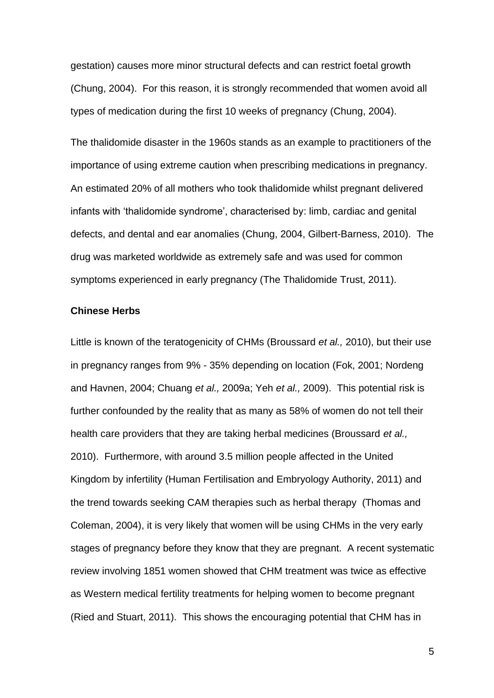gestation) causes more minor structural defects and can restrict foetal growth (Chung, 2004). For this reason, it is strongly recommended that women avoid all types of medication during the first 10 weeks of pregnancy (Chung, 2004).

The thalidomide disaster in the 1960s stands as an example to practitioners of the importance of using extreme caution when prescribing medications in pregnancy. An estimated 20% of all mothers who took thalidomide whilst pregnant delivered infants with 'thalidomide syndrome', characterised by: limb, cardiac and genital defects, and dental and ear anomalies (Chung, 2004, Gilbert-Barness, 2010). The drug was marketed worldwide as extremely safe and was used for common symptoms experienced in early pregnancy (The Thalidomide Trust, 2011).

#### **Chinese Herbs**

Little is known of the teratogenicity of CHMs (Broussard *et al.,* 2010), but their use in pregnancy ranges from 9% - 35% depending on location (Fok, 2001; Nordeng and Havnen, 2004; Chuang *et al.,* 2009a; Yeh *et al.,* 2009). This potential risk is further confounded by the reality that as many as 58% of women do not tell their health care providers that they are taking herbal medicines (Broussard *et al.,*  2010). Furthermore, with around 3.5 million people affected in the United Kingdom by infertility (Human Fertilisation and Embryology Authority, 2011) and the trend towards seeking CAM therapies such as herbal therapy (Thomas and Coleman, 2004), it is very likely that women will be using CHMs in the very early stages of pregnancy before they know that they are pregnant. A recent systematic review involving 1851 women showed that CHM treatment was twice as effective as Western medical fertility treatments for helping women to become pregnant (Ried and Stuart, 2011). This shows the encouraging potential that CHM has in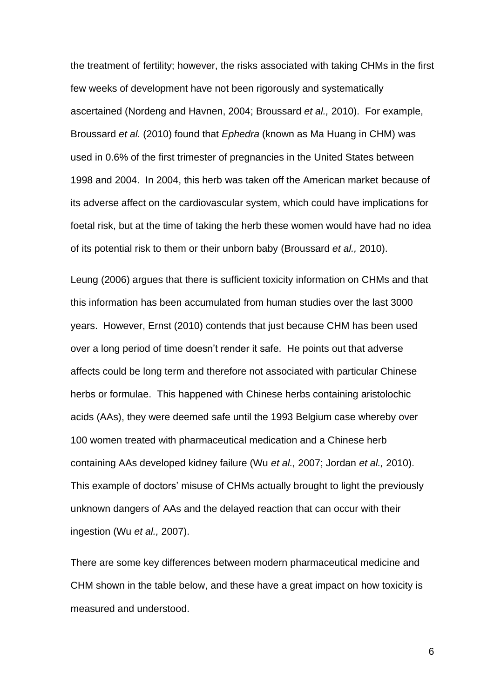the treatment of fertility; however, the risks associated with taking CHMs in the first few weeks of development have not been rigorously and systematically ascertained (Nordeng and Havnen, 2004; Broussard *et al.,* 2010). For example, Broussard *et al.* (2010) found that *Ephedra* (known as Ma Huang in CHM) was used in 0.6% of the first trimester of pregnancies in the United States between 1998 and 2004. In 2004, this herb was taken off the American market because of its adverse affect on the cardiovascular system, which could have implications for foetal risk, but at the time of taking the herb these women would have had no idea of its potential risk to them or their unborn baby (Broussard *et al.,* 2010).

Leung (2006) argues that there is sufficient toxicity information on CHMs and that this information has been accumulated from human studies over the last 3000 years. However, Ernst (2010) contends that just because CHM has been used over a long period of time doesn't render it safe. He points out that adverse affects could be long term and therefore not associated with particular Chinese herbs or formulae. This happened with Chinese herbs containing aristolochic acids (AAs), they were deemed safe until the 1993 Belgium case whereby over 100 women treated with pharmaceutical medication and a Chinese herb containing AAs developed kidney failure (Wu *et al.,* 2007; Jordan *et al.,* 2010). This example of doctors' misuse of CHMs actually brought to light the previously unknown dangers of AAs and the delayed reaction that can occur with their ingestion (Wu *et al.,* 2007).

There are some key differences between modern pharmaceutical medicine and CHM shown in the table below, and these have a great impact on how toxicity is measured and understood.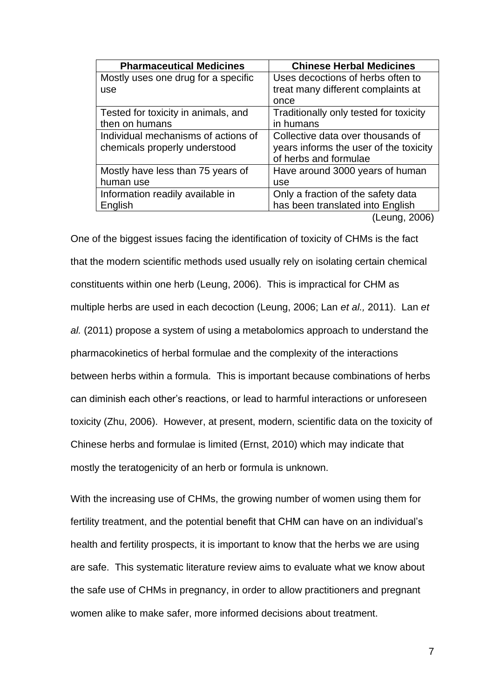| <b>Pharmaceutical Medicines</b>     | <b>Chinese Herbal Medicines</b>        |
|-------------------------------------|----------------------------------------|
| Mostly uses one drug for a specific | Uses decoctions of herbs often to      |
| use                                 | treat many different complaints at     |
|                                     | once                                   |
| Tested for toxicity in animals, and | Traditionally only tested for toxicity |
| then on humans                      | in humans                              |
| Individual mechanisms of actions of | Collective data over thousands of      |
| chemicals properly understood       | years informs the user of the toxicity |
|                                     | of herbs and formulae                  |
| Mostly have less than 75 years of   | Have around 3000 years of human        |
| human use                           | use                                    |
| Information readily available in    | Only a fraction of the safety data     |
| English                             | has been translated into English       |
|                                     | $\mu$ $\Omega$                         |

(Leung, 2006)

One of the biggest issues facing the identification of toxicity of CHMs is the fact that the modern scientific methods used usually rely on isolating certain chemical constituents within one herb (Leung, 2006). This is impractical for CHM as multiple herbs are used in each decoction (Leung, 2006; Lan *et al.,* 2011). Lan *et al.* (2011) propose a system of using a metabolomics approach to understand the pharmacokinetics of herbal formulae and the complexity of the interactions between herbs within a formula. This is important because combinations of herbs can diminish each other's reactions, or lead to harmful interactions or unforeseen toxicity (Zhu, 2006). However, at present, modern, scientific data on the toxicity of Chinese herbs and formulae is limited (Ernst, 2010) which may indicate that mostly the teratogenicity of an herb or formula is unknown.

With the increasing use of CHMs, the growing number of women using them for fertility treatment, and the potential benefit that CHM can have on an individual's health and fertility prospects, it is important to know that the herbs we are using are safe. This systematic literature review aims to evaluate what we know about the safe use of CHMs in pregnancy, in order to allow practitioners and pregnant women alike to make safer, more informed decisions about treatment.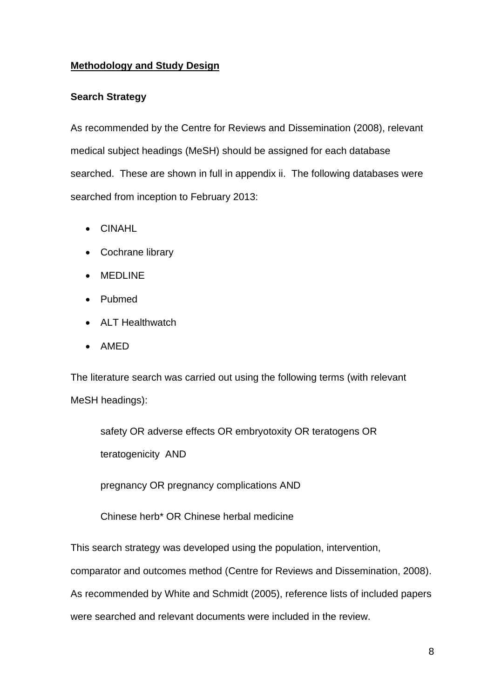# **Methodology and Study Design**

# **Search Strategy**

As recommended by the Centre for Reviews and Dissemination (2008), relevant medical subject headings (MeSH) should be assigned for each database searched. These are shown in full in appendix ii. The following databases were searched from inception to February 2013:

- CINAHL
- Cochrane library
- MEDLINE
- Pubmed
- ALT Healthwatch
- AMED

The literature search was carried out using the following terms (with relevant MeSH headings):

safety OR adverse effects OR embryotoxity OR teratogens OR teratogenicity AND

pregnancy OR pregnancy complications AND

Chinese herb\* OR Chinese herbal medicine

This search strategy was developed using the population, intervention,

comparator and outcomes method (Centre for Reviews and Dissemination, 2008).

As recommended by White and Schmidt (2005), reference lists of included papers

were searched and relevant documents were included in the review.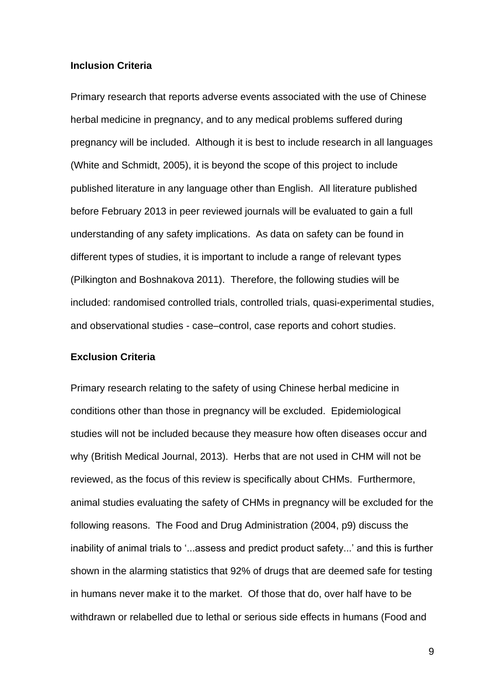#### **Inclusion Criteria**

Primary research that reports adverse events associated with the use of Chinese herbal medicine in pregnancy, and to any medical problems suffered during pregnancy will be included. Although it is best to include research in all languages (White and Schmidt, 2005), it is beyond the scope of this project to include published literature in any language other than English. All literature published before February 2013 in peer reviewed journals will be evaluated to gain a full understanding of any safety implications. As data on safety can be found in different types of studies, it is important to include a range of relevant types (Pilkington and Boshnakova 2011). Therefore, the following studies will be included: randomised controlled trials, controlled trials, quasi-experimental studies, and observational studies - case–control, case reports and cohort studies.

#### **Exclusion Criteria**

Primary research relating to the safety of using Chinese herbal medicine in conditions other than those in pregnancy will be excluded. Epidemiological studies will not be included because they measure how often diseases occur and why (British Medical Journal, 2013). Herbs that are not used in CHM will not be reviewed, as the focus of this review is specifically about CHMs. Furthermore, animal studies evaluating the safety of CHMs in pregnancy will be excluded for the following reasons. The Food and Drug Administration (2004, p9) discuss the inability of animal trials to '...assess and predict product safety...' and this is further shown in the alarming statistics that 92% of drugs that are deemed safe for testing in humans never make it to the market. Of those that do, over half have to be withdrawn or relabelled due to lethal or serious side effects in humans (Food and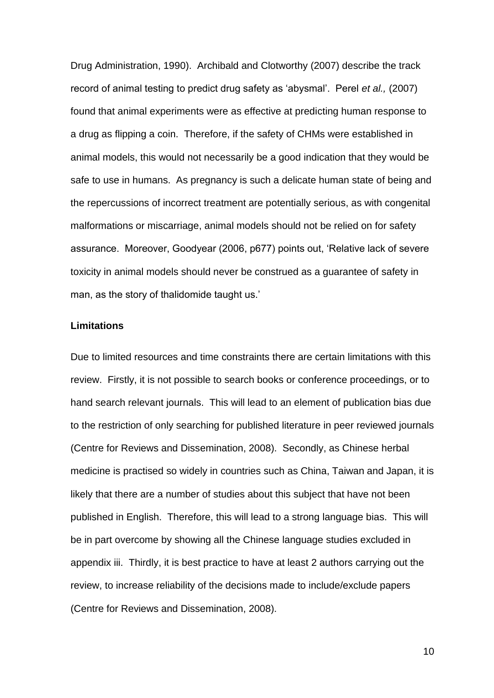Drug Administration, 1990). Archibald and Clotworthy (2007) describe the track record of animal testing to predict drug safety as 'abysmal'. Perel *et al.,* (2007) found that animal experiments were as effective at predicting human response to a drug as flipping a coin. Therefore, if the safety of CHMs were established in animal models, this would not necessarily be a good indication that they would be safe to use in humans. As pregnancy is such a delicate human state of being and the repercussions of incorrect treatment are potentially serious, as with congenital malformations or miscarriage, animal models should not be relied on for safety assurance. Moreover, Goodyear (2006, p677) points out, 'Relative lack of severe toxicity in animal models should never be construed as a guarantee of safety in man, as the story of thalidomide taught us.'

#### **Limitations**

Due to limited resources and time constraints there are certain limitations with this review. Firstly, it is not possible to search books or conference proceedings, or to hand search relevant journals. This will lead to an element of publication bias due to the restriction of only searching for published literature in peer reviewed journals (Centre for Reviews and Dissemination, 2008). Secondly, as Chinese herbal medicine is practised so widely in countries such as China, Taiwan and Japan, it is likely that there are a number of studies about this subject that have not been published in English. Therefore, this will lead to a strong language bias. This will be in part overcome by showing all the Chinese language studies excluded in appendix iii. Thirdly, it is best practice to have at least 2 authors carrying out the review, to increase reliability of the decisions made to include/exclude papers (Centre for Reviews and Dissemination, 2008).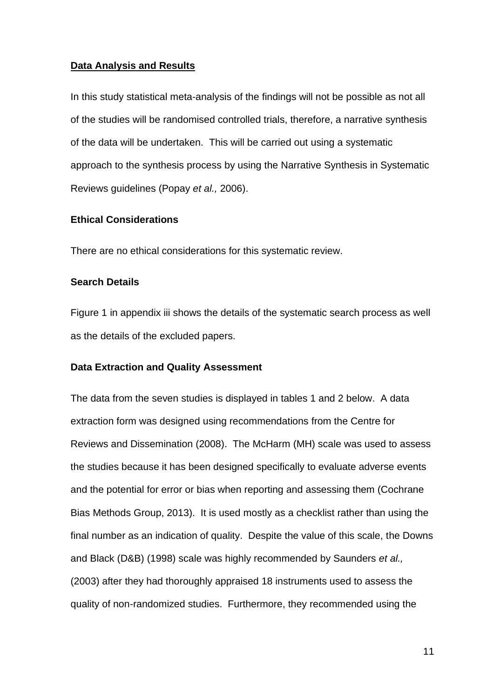#### **Data Analysis and Results**

In this study statistical meta-analysis of the findings will not be possible as not all of the studies will be randomised controlled trials, therefore, a narrative synthesis of the data will be undertaken. This will be carried out using a systematic approach to the synthesis process by using the Narrative Synthesis in Systematic Reviews guidelines (Popay *et al.,* 2006).

#### **Ethical Considerations**

There are no ethical considerations for this systematic review.

#### **Search Details**

Figure 1 in appendix iii shows the details of the systematic search process as well as the details of the excluded papers.

#### **Data Extraction and Quality Assessment**

The data from the seven studies is displayed in tables 1 and 2 below. A data extraction form was designed using recommendations from the Centre for Reviews and Dissemination (2008). The McHarm (MH) scale was used to assess the studies because it has been designed specifically to evaluate adverse events and the potential for error or bias when reporting and assessing them (Cochrane Bias Methods Group, 2013). It is used mostly as a checklist rather than using the final number as an indication of quality. Despite the value of this scale, the Downs and Black (D&B) (1998) scale was highly recommended by Saunders *et al.,*  (2003) after they had thoroughly appraised 18 instruments used to assess the quality of non-randomized studies. Furthermore, they recommended using the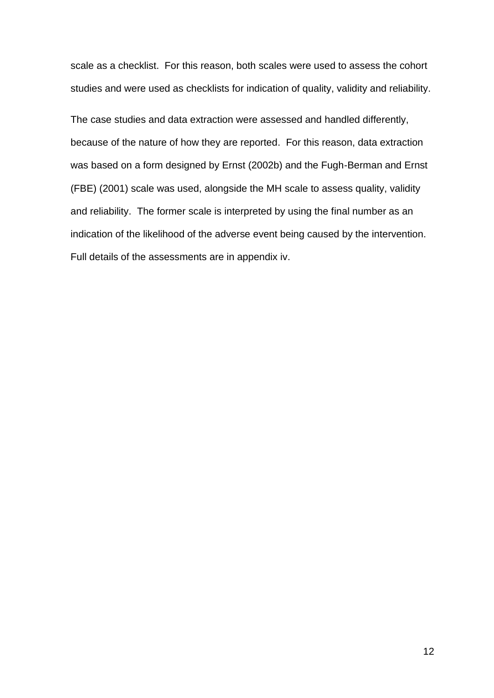scale as a checklist. For this reason, both scales were used to assess the cohort studies and were used as checklists for indication of quality, validity and reliability.

The case studies and data extraction were assessed and handled differently, because of the nature of how they are reported. For this reason, data extraction was based on a form designed by Ernst (2002b) and the Fugh-Berman and Ernst (FBE) (2001) scale was used, alongside the MH scale to assess quality, validity and reliability. The former scale is interpreted by using the final number as an indication of the likelihood of the adverse event being caused by the intervention. Full details of the assessments are in appendix iv.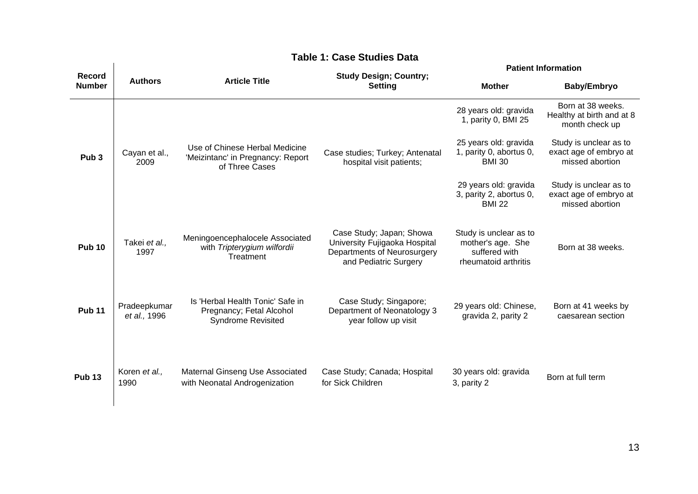|                                |                              |                                                                                           | . vasc otaales                                                                                                    |                                                                                      | <b>Patient Information</b>                                          |  |  |
|--------------------------------|------------------------------|-------------------------------------------------------------------------------------------|-------------------------------------------------------------------------------------------------------------------|--------------------------------------------------------------------------------------|---------------------------------------------------------------------|--|--|
| <b>Record</b><br><b>Number</b> | <b>Authors</b>               | <b>Article Title</b>                                                                      | <b>Study Design; Country;</b><br><b>Setting</b>                                                                   | <b>Mother</b>                                                                        | Baby/Embryo                                                         |  |  |
|                                |                              |                                                                                           |                                                                                                                   | 28 years old: gravida<br>1, parity 0, BMI 25                                         | Born at 38 weeks.<br>Healthy at birth and at 8<br>month check up    |  |  |
| Pub <sub>3</sub>               | Cayan et al.,<br>2009        | Use of Chinese Herbal Medicine<br>'Meizintanc' in Pregnancy: Report<br>of Three Cases     | Case studies; Turkey; Antenatal<br>hospital visit patients;                                                       | 25 years old: gravida<br>1, parity 0, abortus 0,<br><b>BMI 30</b>                    | Study is unclear as to<br>exact age of embryo at<br>missed abortion |  |  |
|                                |                              |                                                                                           |                                                                                                                   | 29 years old: gravida<br>3, parity 2, abortus 0,<br><b>BMI 22</b>                    | Study is unclear as to<br>exact age of embryo at<br>missed abortion |  |  |
| <b>Pub 10</b>                  | Takei et al.,<br>1997        | Meningoencephalocele Associated<br>with Tripterygium wilfordii<br>Treatment               | Case Study; Japan; Showa<br>University Fujigaoka Hospital<br>Departments of Neurosurgery<br>and Pediatric Surgery | Study is unclear as to<br>mother's age. She<br>suffered with<br>rheumatoid arthritis | Born at 38 weeks.                                                   |  |  |
| <b>Pub 11</b>                  | Pradeepkumar<br>et al., 1996 | Is 'Herbal Health Tonic' Safe in<br>Pregnancy; Fetal Alcohol<br><b>Syndrome Revisited</b> | Case Study; Singapore;<br>Department of Neonatology 3<br>year follow up visit                                     | 29 years old: Chinese,<br>gravida 2, parity 2                                        | Born at 41 weeks by<br>caesarean section                            |  |  |
| <b>Pub 13</b>                  | Koren et al.,<br>1990        | Maternal Ginseng Use Associated<br>with Neonatal Androgenization                          | Case Study; Canada; Hospital<br>for Sick Children                                                                 | 30 years old: gravida<br>3, parity 2                                                 | Born at full term                                                   |  |  |

# **Table 1: Case Studies Data**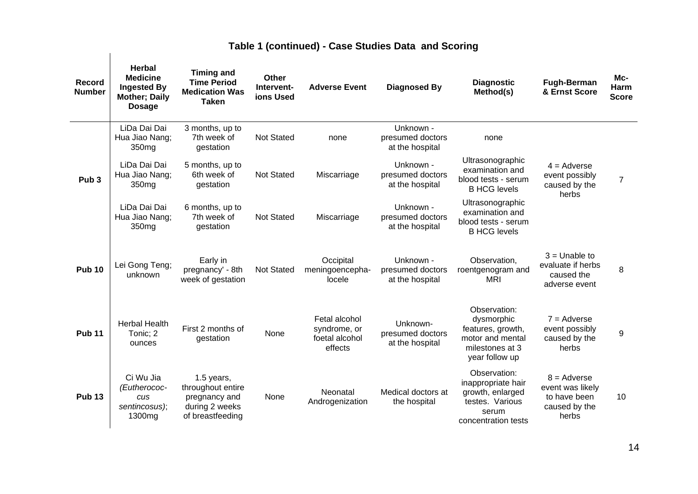|  | Table 1 (continued) - Case Studies Data and Scoring |  |
|--|-----------------------------------------------------|--|
|--|-----------------------------------------------------|--|

| <b>Record</b><br><b>Number</b> | <b>Herbal</b><br><b>Medicine</b><br><b>Ingested By</b><br><b>Mother; Daily</b><br><b>Dosage</b> | <b>Timing and</b><br><b>Time Period</b><br><b>Medication Was</b><br><b>Taken</b>       | Other<br>Intervent-<br>ions Used | <b>Adverse Event</b>                                       | <b>Diagnosed By</b>                              | <b>Diagnostic</b><br>Method(s)                                                                            | <b>Fugh-Berman</b><br>& Ernst Score                                         | Mc-<br>Harm<br><b>Score</b> |
|--------------------------------|-------------------------------------------------------------------------------------------------|----------------------------------------------------------------------------------------|----------------------------------|------------------------------------------------------------|--------------------------------------------------|-----------------------------------------------------------------------------------------------------------|-----------------------------------------------------------------------------|-----------------------------|
|                                | LiDa Dai Dai<br>Hua Jiao Nang;<br>350 <sub>mg</sub>                                             | 3 months, up to<br>7th week of<br>gestation                                            | Not Stated                       | none                                                       | Unknown -<br>presumed doctors<br>at the hospital | none                                                                                                      |                                                                             |                             |
| Pub <sub>3</sub>               | LiDa Dai Dai<br>Hua Jiao Nang;<br>350 <sub>mg</sub>                                             | 5 months, up to<br>6th week of<br>gestation                                            | <b>Not Stated</b>                | Miscarriage                                                | Unknown -<br>presumed doctors<br>at the hospital | Ultrasonographic<br>examination and<br>blood tests - serum<br><b>B HCG levels</b>                         | $4 =$ Adverse<br>event possibly<br>caused by the<br>herbs                   | $\overline{7}$              |
|                                | LiDa Dai Dai<br>Hua Jiao Nang;<br>350 <sub>mg</sub>                                             | 6 months, up to<br>7th week of<br>gestation                                            | <b>Not Stated</b>                | Miscarriage                                                | Unknown -<br>presumed doctors<br>at the hospital | Ultrasonographic<br>examination and<br>blood tests - serum<br><b>B HCG levels</b>                         |                                                                             |                             |
| <b>Pub 10</b>                  | Lei Gong Teng;<br>unknown                                                                       | Early in<br>pregnancy' - 8th<br>week of gestation                                      | <b>Not Stated</b>                | Occipital<br>meningoencepha-<br>locele                     | Unknown -<br>presumed doctors<br>at the hospital | Observation,<br>roentgenogram and<br><b>MRI</b>                                                           | $3 =$ Unable to<br>evaluate if herbs<br>caused the<br>adverse event         | 8                           |
| <b>Pub 11</b>                  | <b>Herbal Health</b><br>Tonic; 2<br>ounces                                                      | First 2 months of<br>gestation                                                         | None                             | Fetal alcohol<br>syndrome, or<br>foetal alcohol<br>effects | Unknown-<br>presumed doctors<br>at the hospital  | Observation:<br>dysmorphic<br>features, growth,<br>motor and mental<br>milestones at 3<br>year follow up  | $7 =$ Adverse<br>event possibly<br>caused by the<br>herbs                   | 9                           |
| <b>Pub 13</b>                  | Ci Wu Jia<br>(Eutherococ-<br>cus<br>sentincosus);<br>1300 <sub>mg</sub>                         | 1.5 years,<br>throughout entire<br>pregnancy and<br>during 2 weeks<br>of breastfeeding | None                             | Neonatal<br>Androgenization                                | Medical doctors at<br>the hospital               | Observation:<br>inappropriate hair<br>growth, enlarged<br>testes. Various<br>serum<br>concentration tests | $8 =$ Adverse<br>event was likely<br>to have been<br>caused by the<br>herbs | 10                          |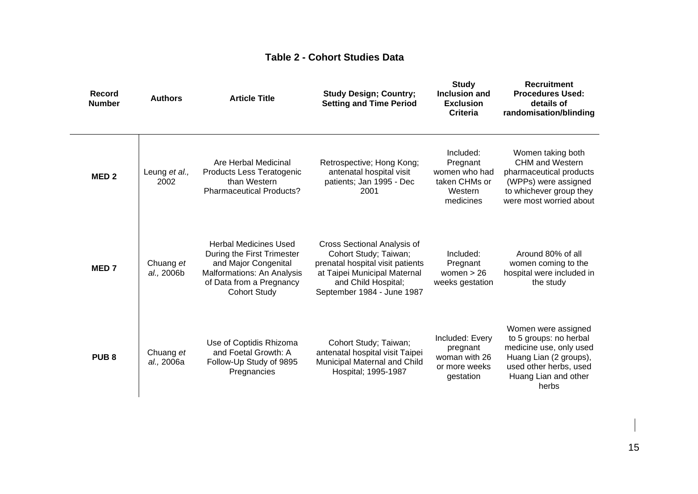# **Table 2 - Cohort Studies Data**

| <b>Record</b><br><b>Number</b> | <b>Authors</b>          | <b>Article Title</b>                                                                                                                                                | <b>Study Design; Country;</b><br><b>Setting and Time Period</b>                                                                                                                      | <b>Study</b><br><b>Inclusion and</b><br><b>Exclusion</b><br><b>Criteria</b>     | <b>Recruitment</b><br><b>Procedures Used:</b><br>details of<br>randomisation/blinding                                                                         |
|--------------------------------|-------------------------|---------------------------------------------------------------------------------------------------------------------------------------------------------------------|--------------------------------------------------------------------------------------------------------------------------------------------------------------------------------------|---------------------------------------------------------------------------------|---------------------------------------------------------------------------------------------------------------------------------------------------------------|
| MED <sub>2</sub>               | Leung et al.,<br>2002   | Are Herbal Medicinal<br>Products Less Teratogenic<br>than Western<br><b>Pharmaceutical Products?</b>                                                                | Retrospective; Hong Kong;<br>antenatal hospital visit<br>patients; Jan 1995 - Dec<br>2001                                                                                            | Included:<br>Pregnant<br>women who had<br>taken CHMs or<br>Western<br>medicines | Women taking both<br><b>CHM and Western</b><br>pharmaceutical products<br>(WPPs) were assigned<br>to whichever group they<br>were most worried about          |
| MED <sub>7</sub>               | Chuang et<br>al., 2006b | <b>Herbal Medicines Used</b><br>During the First Trimester<br>and Major Congenital<br>Malformations: An Analysis<br>of Data from a Pregnancy<br><b>Cohort Study</b> | <b>Cross Sectional Analysis of</b><br>Cohort Study; Taiwan;<br>prenatal hospital visit patients<br>at Taipei Municipal Maternal<br>and Child Hospital;<br>September 1984 - June 1987 | Included:<br>Pregnant<br>women $> 26$<br>weeks gestation                        | Around 80% of all<br>women coming to the<br>hospital were included in<br>the study                                                                            |
| PUB <sub>8</sub>               | Chuang et<br>al., 2006a | Use of Coptidis Rhizoma<br>and Foetal Growth: A<br>Follow-Up Study of 9895<br>Pregnancies                                                                           | Cohort Study; Taiwan;<br>antenatal hospital visit Taipei<br>Municipal Maternal and Child<br>Hospital; 1995-1987                                                                      | Included: Every<br>pregnant<br>woman with 26<br>or more weeks<br>gestation      | Women were assigned<br>to 5 groups: no herbal<br>medicine use, only used<br>Huang Lian (2 groups),<br>used other herbs, used<br>Huang Lian and other<br>herbs |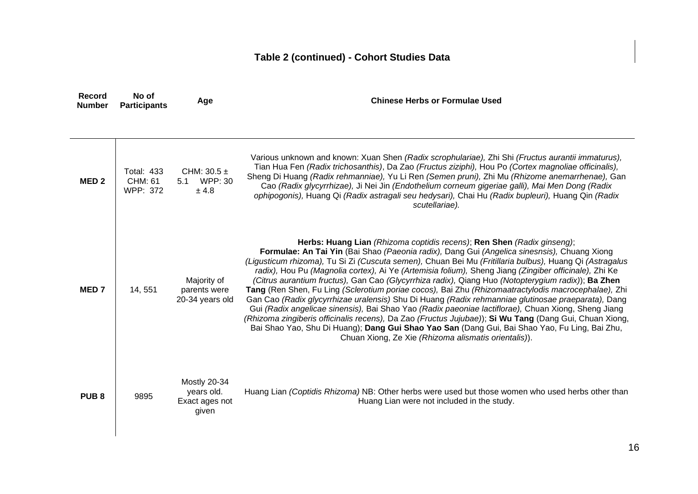# **Table 2 (continued) - Cohort Studies Data**

| Record<br><b>Number</b> | No of<br><b>Participants</b>                    | Age                                                   | <b>Chinese Herbs or Formulae Used</b>                                                                                                                                                                                                                                                                                                                                                                                                                                                                                                                                                                                                                                                                                                                                                                                                                                                                                                                                                                                                                                                  |  |  |
|-------------------------|-------------------------------------------------|-------------------------------------------------------|----------------------------------------------------------------------------------------------------------------------------------------------------------------------------------------------------------------------------------------------------------------------------------------------------------------------------------------------------------------------------------------------------------------------------------------------------------------------------------------------------------------------------------------------------------------------------------------------------------------------------------------------------------------------------------------------------------------------------------------------------------------------------------------------------------------------------------------------------------------------------------------------------------------------------------------------------------------------------------------------------------------------------------------------------------------------------------------|--|--|
|                         |                                                 |                                                       |                                                                                                                                                                                                                                                                                                                                                                                                                                                                                                                                                                                                                                                                                                                                                                                                                                                                                                                                                                                                                                                                                        |  |  |
| MED <sub>2</sub>        | <b>Total: 433</b><br><b>CHM: 61</b><br>WPP: 372 | CHM: $30.5 \pm$<br><b>WPP: 30</b><br>5.1<br>± 4.8     | Various unknown and known: Xuan Shen (Radix scrophulariae), Zhi Shi (Fructus aurantii immaturus),<br>Tian Hua Fen (Radix trichosanthis), Da Zao (Fructus ziziphi), Hou Po (Cortex magnoliae officinalis),<br>Sheng Di Huang (Radix rehmanniae), Yu Li Ren (Semen pruni), Zhi Mu (Rhizome anemarrhenae), Gan<br>Cao (Radix glycyrrhizae), Ji Nei Jin (Endothelium corneum gigeriae galli), Mai Men Dong (Radix<br>ophipogonis), Huang Qi (Radix astragali seu hedysari), Chai Hu (Radix bupleuri), Huang Qin (Radix<br>scutellariae).                                                                                                                                                                                                                                                                                                                                                                                                                                                                                                                                                   |  |  |
| MED <sub>7</sub>        | 14, 551                                         | Majority of<br>parents were<br>20-34 years old        | Herbs: Huang Lian (Rhizoma coptidis recens); Ren Shen (Radix ginseng);<br>Formulae: An Tai Yin (Bai Shao (Paeonia radix), Dang Gui (Angelica sinesnsis), Chuang Xiong<br>(Ligusticum rhizoma), Tu Si Zi (Cuscuta semen), Chuan Bei Mu (Fritillaria bulbus), Huang Qi (Astragalus<br>radix), Hou Pu (Magnolia cortex), Ai Ye (Artemisia folium), Sheng Jiang (Zingiber officinale), Zhi Ke<br>(Citrus aurantium fructus), Gan Cao (Glycyrrhiza radix), Qiang Huo (Notopterygium radix)); Ba Zhen<br>Tang (Ren Shen, Fu Ling (Sclerotium poriae cocos), Bai Zhu (Rhizomaatractylodis macrocephalae), Zhi<br>Gan Cao (Radix glycyrrhizae uralensis) Shu Di Huang (Radix rehmanniae glutinosae praeparata), Dang<br>Gui (Radix angelicae sinensis), Bai Shao Yao (Radix paeoniae lactiflorae), Chuan Xiong, Sheng Jiang<br>(Rhizoma zingiberis officinalis recens), Da Zao (Fructus Jujubae)); Si Wu Tang (Dang Gui, Chuan Xiong,<br>Bai Shao Yao, Shu Di Huang); Dang Gui Shao Yao San (Dang Gui, Bai Shao Yao, Fu Ling, Bai Zhu,<br>Chuan Xiong, Ze Xie (Rhizoma alismatis orientalis)). |  |  |
| PUB <sub>8</sub>        | 9895                                            | Mostly 20-34<br>years old.<br>Exact ages not<br>given | Huang Lian (Coptidis Rhizoma) NB: Other herbs were used but those women who used herbs other than<br>Huang Lian were not included in the study.                                                                                                                                                                                                                                                                                                                                                                                                                                                                                                                                                                                                                                                                                                                                                                                                                                                                                                                                        |  |  |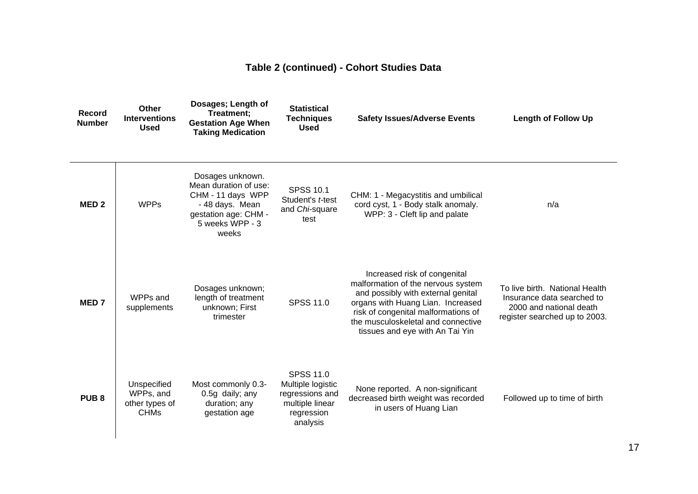# **Table 2 (continued) - Cohort Studies Data**

| Record<br><b>Number</b> | Other<br><b>Interventions</b><br><b>Used</b>              | Dosages; Length of<br>Treatment;<br><b>Gestation Age When</b><br><b>Taking Medication</b>                                             | <b>Statistical</b><br><b>Techniques</b><br><b>Used</b>                                                | <b>Safety Issues/Adverse Events</b>                                                                                                                                                                                                                           | <b>Length of Follow Up</b>                                                                                               |
|-------------------------|-----------------------------------------------------------|---------------------------------------------------------------------------------------------------------------------------------------|-------------------------------------------------------------------------------------------------------|---------------------------------------------------------------------------------------------------------------------------------------------------------------------------------------------------------------------------------------------------------------|--------------------------------------------------------------------------------------------------------------------------|
| MED <sub>2</sub>        | <b>WPPs</b>                                               | Dosages unknown.<br>Mean duration of use:<br>CHM - 11 days WPP<br>- 48 days. Mean<br>gestation age: CHM -<br>5 weeks WPP - 3<br>weeks | <b>SPSS 10.1</b><br>Student's t-test<br>and Chi-square<br>test                                        | CHM: 1 - Megacystitis and umbilical<br>cord cyst, 1 - Body stalk anomaly.<br>WPP: 3 - Cleft lip and palate                                                                                                                                                    | n/a                                                                                                                      |
| MED <sub>7</sub>        | WPPs and<br>supplements                                   | Dosages unknown;<br>length of treatment<br>unknown; First<br>trimester                                                                | <b>SPSS 11.0</b>                                                                                      | Increased risk of congenital<br>malformation of the nervous system<br>and possibly with external genital<br>organs with Huang Lian. Increased<br>risk of congenital malformations of<br>the musculoskeletal and connective<br>tissues and eye with An Tai Yin | To live birth. National Health<br>Insurance data searched to<br>2000 and national death<br>register searched up to 2003. |
| PUB <sub>8</sub>        | Unspecified<br>WPPs, and<br>other types of<br><b>CHMs</b> | Most commonly 0.3-<br>0.5g daily; any<br>duration; any<br>gestation age                                                               | <b>SPSS 11.0</b><br>Multiple logistic<br>regressions and<br>multiple linear<br>regression<br>analysis | None reported. A non-significant<br>decreased birth weight was recorded<br>in users of Huang Lian                                                                                                                                                             | Followed up to time of birth                                                                                             |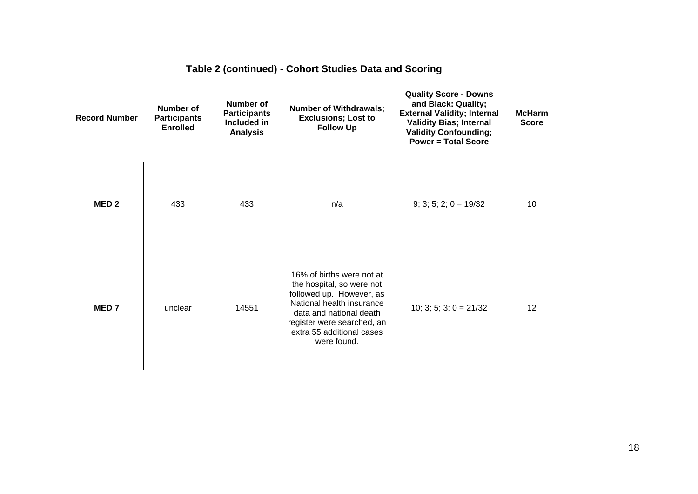| <b>Record Number</b> | <b>Number of</b><br><b>Participants</b><br><b>Enrolled</b> | Number of<br><b>Participants</b><br>Included in<br><b>Analysis</b> | <b>Number of Withdrawals;</b><br><b>Exclusions; Lost to</b><br><b>Follow Up</b>                                                                                                                                      | <b>Quality Score - Downs</b><br>and Black: Quality;<br><b>External Validity; Internal</b><br><b>Validity Bias; Internal</b><br><b>Validity Confounding;</b><br><b>Power = Total Score</b> | <b>McHarm</b><br><b>Score</b> |
|----------------------|------------------------------------------------------------|--------------------------------------------------------------------|----------------------------------------------------------------------------------------------------------------------------------------------------------------------------------------------------------------------|-------------------------------------------------------------------------------------------------------------------------------------------------------------------------------------------|-------------------------------|
| MED <sub>2</sub>     | 433                                                        | 433                                                                | n/a                                                                                                                                                                                                                  | $9; 3; 5; 2; 0 = 19/32$                                                                                                                                                                   | 10                            |
| MED <sub>7</sub>     | unclear                                                    | 14551                                                              | 16% of births were not at<br>the hospital, so were not<br>followed up. However, as<br>National health insurance<br>data and national death<br>register were searched, an<br>extra 55 additional cases<br>were found. | 10; 3; 5; 3; $0 = 21/32$                                                                                                                                                                  | 12                            |

# **Table 2 (continued) - Cohort Studies Data and Scoring**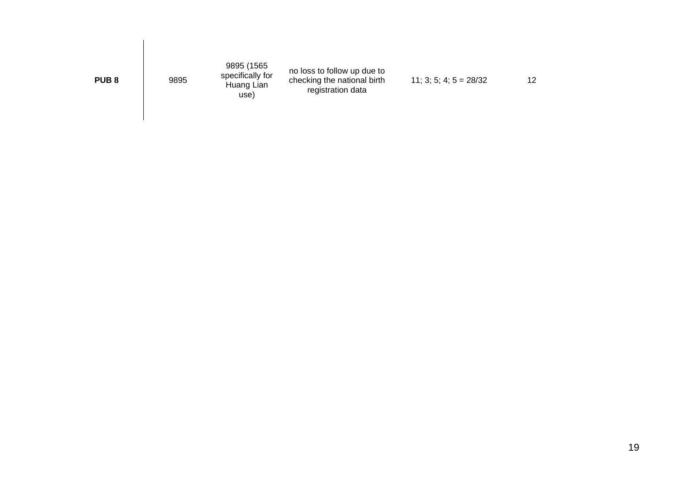| PUB <sub>8</sub> | 9895 | 9895 (1565<br>specifically for<br>Huang Lian<br>use) | no loss to follow up due to<br>checking the national birth<br>registration data | $11; 3; 5; 4; 5 = 28/32$ | 12 |
|------------------|------|------------------------------------------------------|---------------------------------------------------------------------------------|--------------------------|----|
|                  |      |                                                      |                                                                                 |                          |    |

 $\overline{\phantom{a}}$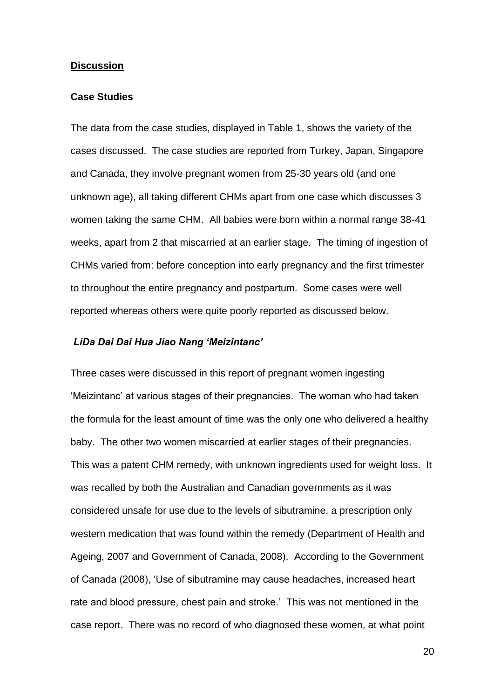#### **Discussion**

### **Case Studies**

The data from the case studies, displayed in Table 1, shows the variety of the cases discussed. The case studies are reported from Turkey, Japan, Singapore and Canada, they involve pregnant women from 25-30 years old (and one unknown age), all taking different CHMs apart from one case which discusses 3 women taking the same CHM. All babies were born within a normal range 38-41 weeks, apart from 2 that miscarried at an earlier stage. The timing of ingestion of CHMs varied from: before conception into early pregnancy and the first trimester to throughout the entire pregnancy and postpartum. Some cases were well reported whereas others were quite poorly reported as discussed below.

#### *LiDa Dai Dai Hua Jiao Nang 'Meizintanc'*

Three cases were discussed in this report of pregnant women ingesting 'Meizintanc' at various stages of their pregnancies. The woman who had taken the formula for the least amount of time was the only one who delivered a healthy baby. The other two women miscarried at earlier stages of their pregnancies. This was a patent CHM remedy, with unknown ingredients used for weight loss. It was recalled by both the Australian and Canadian governments as it was considered unsafe for use due to the levels of sibutramine, a prescription only western medication that was found within the remedy (Department of Health and Ageing, 2007 and Government of Canada, 2008). According to the Government of Canada (2008), 'Use of sibutramine may cause headaches, increased heart rate and blood pressure, chest pain and stroke.' This was not mentioned in the case report. There was no record of who diagnosed these women, at what point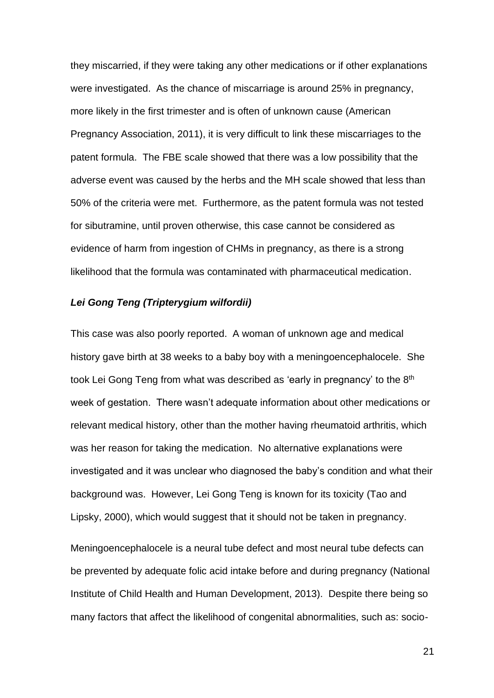they miscarried, if they were taking any other medications or if other explanations were investigated. As the chance of miscarriage is around 25% in pregnancy, more likely in the first trimester and is often of unknown cause (American Pregnancy Association, 2011), it is very difficult to link these miscarriages to the patent formula. The FBE scale showed that there was a low possibility that the adverse event was caused by the herbs and the MH scale showed that less than 50% of the criteria were met. Furthermore, as the patent formula was not tested for sibutramine, until proven otherwise, this case cannot be considered as evidence of harm from ingestion of CHMs in pregnancy, as there is a strong likelihood that the formula was contaminated with pharmaceutical medication.

#### *Lei Gong Teng (Tripterygium wilfordii)*

This case was also poorly reported. A woman of unknown age and medical history gave birth at 38 weeks to a baby boy with a meningoencephalocele. She took Lei Gong Teng from what was described as 'early in pregnancy' to the 8<sup>th</sup> week of gestation. There wasn't adequate information about other medications or relevant medical history, other than the mother having rheumatoid arthritis, which was her reason for taking the medication. No alternative explanations were investigated and it was unclear who diagnosed the baby's condition and what their background was. However, Lei Gong Teng is known for its toxicity (Tao and Lipsky, 2000), which would suggest that it should not be taken in pregnancy.

Meningoencephalocele is a neural tube defect and most neural tube defects can be prevented by adequate folic acid intake before and during pregnancy (National Institute of Child Health and Human Development, 2013). Despite there being so many factors that affect the likelihood of congenital abnormalities, such as: socio-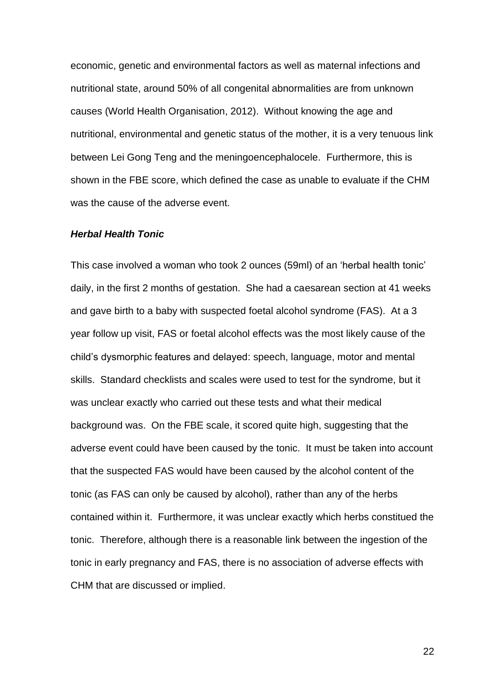economic, genetic and environmental factors as well as maternal infections and nutritional state, around 50% of all congenital abnormalities are from unknown causes (World Health Organisation, 2012). Without knowing the age and nutritional, environmental and genetic status of the mother, it is a very tenuous link between Lei Gong Teng and the meningoencephalocele. Furthermore, this is shown in the FBE score, which defined the case as unable to evaluate if the CHM was the cause of the adverse event.

#### *Herbal Health Tonic*

This case involved a woman who took 2 ounces (59ml) of an 'herbal health tonic' daily, in the first 2 months of gestation. She had a caesarean section at 41 weeks and gave birth to a baby with suspected foetal alcohol syndrome (FAS). At a 3 year follow up visit, FAS or foetal alcohol effects was the most likely cause of the child's dysmorphic features and delayed: speech, language, motor and mental skills. Standard checklists and scales were used to test for the syndrome, but it was unclear exactly who carried out these tests and what their medical background was. On the FBE scale, it scored quite high, suggesting that the adverse event could have been caused by the tonic. It must be taken into account that the suspected FAS would have been caused by the alcohol content of the tonic (as FAS can only be caused by alcohol), rather than any of the herbs contained within it. Furthermore, it was unclear exactly which herbs constitued the tonic. Therefore, although there is a reasonable link between the ingestion of the tonic in early pregnancy and FAS, there is no association of adverse effects with CHM that are discussed or implied.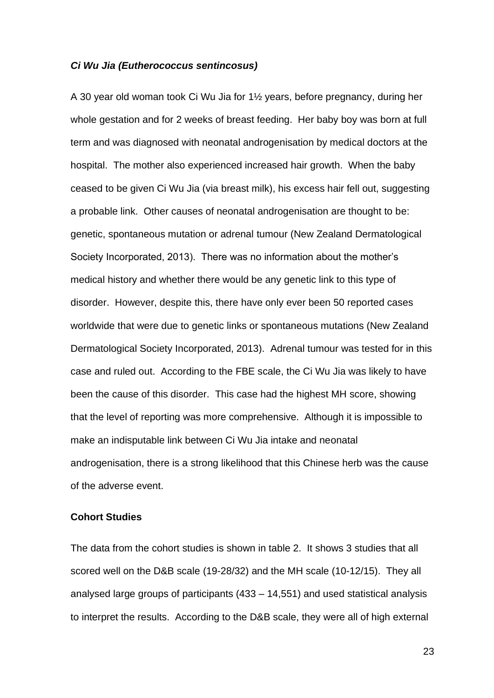#### *Ci Wu Jia (Eutherococcus sentincosus)*

A 30 year old woman took Ci Wu Jia for 1½ years, before pregnancy, during her whole gestation and for 2 weeks of breast feeding. Her baby boy was born at full term and was diagnosed with neonatal androgenisation by medical doctors at the hospital. The mother also experienced increased hair growth. When the baby ceased to be given Ci Wu Jia (via breast milk), his excess hair fell out, suggesting a probable link. Other causes of neonatal androgenisation are thought to be: genetic, spontaneous mutation or adrenal tumour (New Zealand Dermatological Society Incorporated, 2013). There was no information about the mother's medical history and whether there would be any genetic link to this type of disorder. However, despite this, there have only ever been 50 reported cases worldwide that were due to genetic links or spontaneous mutations (New Zealand Dermatological Society Incorporated, 2013). Adrenal tumour was tested for in this case and ruled out. According to the FBE scale, the Ci Wu Jia was likely to have been the cause of this disorder. This case had the highest MH score, showing that the level of reporting was more comprehensive. Although it is impossible to make an indisputable link between Ci Wu Jia intake and neonatal androgenisation, there is a strong likelihood that this Chinese herb was the cause of the adverse event.

### **Cohort Studies**

The data from the cohort studies is shown in table 2. It shows 3 studies that all scored well on the D&B scale (19-28/32) and the MH scale (10-12/15). They all analysed large groups of participants (433 – 14,551) and used statistical analysis to interpret the results. According to the D&B scale, they were all of high external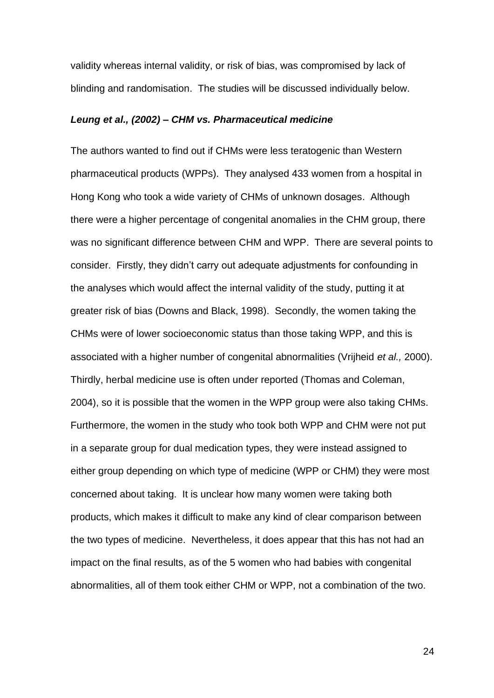validity whereas internal validity, or risk of bias, was compromised by lack of blinding and randomisation. The studies will be discussed individually below.

#### *Leung et al., (2002) – CHM vs. Pharmaceutical medicine*

The authors wanted to find out if CHMs were less teratogenic than Western pharmaceutical products (WPPs). They analysed 433 women from a hospital in Hong Kong who took a wide variety of CHMs of unknown dosages. Although there were a higher percentage of congenital anomalies in the CHM group, there was no significant difference between CHM and WPP. There are several points to consider. Firstly, they didn't carry out adequate adjustments for confounding in the analyses which would affect the internal validity of the study, putting it at greater risk of bias (Downs and Black, 1998). Secondly, the women taking the CHMs were of lower socioeconomic status than those taking WPP, and this is associated with a higher number of congenital abnormalities (Vrijheid *et al.,* 2000). Thirdly, herbal medicine use is often under reported (Thomas and Coleman, 2004), so it is possible that the women in the WPP group were also taking CHMs. Furthermore, the women in the study who took both WPP and CHM were not put in a separate group for dual medication types, they were instead assigned to either group depending on which type of medicine (WPP or CHM) they were most concerned about taking. It is unclear how many women were taking both products, which makes it difficult to make any kind of clear comparison between the two types of medicine. Nevertheless, it does appear that this has not had an impact on the final results, as of the 5 women who had babies with congenital abnormalities, all of them took either CHM or WPP, not a combination of the two.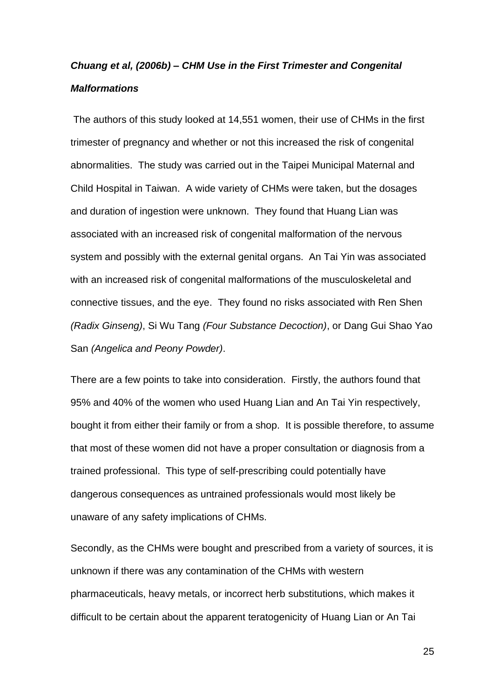# *Chuang et al, (2006b) – CHM Use in the First Trimester and Congenital Malformations*

The authors of this study looked at 14,551 women, their use of CHMs in the first trimester of pregnancy and whether or not this increased the risk of congenital abnormalities. The study was carried out in the Taipei Municipal Maternal and Child Hospital in Taiwan. A wide variety of CHMs were taken, but the dosages and duration of ingestion were unknown. They found that Huang Lian was associated with an increased risk of congenital malformation of the nervous system and possibly with the external genital organs. An Tai Yin was associated with an increased risk of congenital malformations of the musculoskeletal and connective tissues, and the eye. They found no risks associated with Ren Shen *(Radix Ginseng)*, Si Wu Tang *(Four Substance Decoction)*, or Dang Gui Shao Yao San *(Angelica and Peony Powder)*.

There are a few points to take into consideration. Firstly, the authors found that 95% and 40% of the women who used Huang Lian and An Tai Yin respectively, bought it from either their family or from a shop. It is possible therefore, to assume that most of these women did not have a proper consultation or diagnosis from a trained professional. This type of self-prescribing could potentially have dangerous consequences as untrained professionals would most likely be unaware of any safety implications of CHMs.

Secondly, as the CHMs were bought and prescribed from a variety of sources, it is unknown if there was any contamination of the CHMs with western pharmaceuticals, heavy metals, or incorrect herb substitutions, which makes it difficult to be certain about the apparent teratogenicity of Huang Lian or An Tai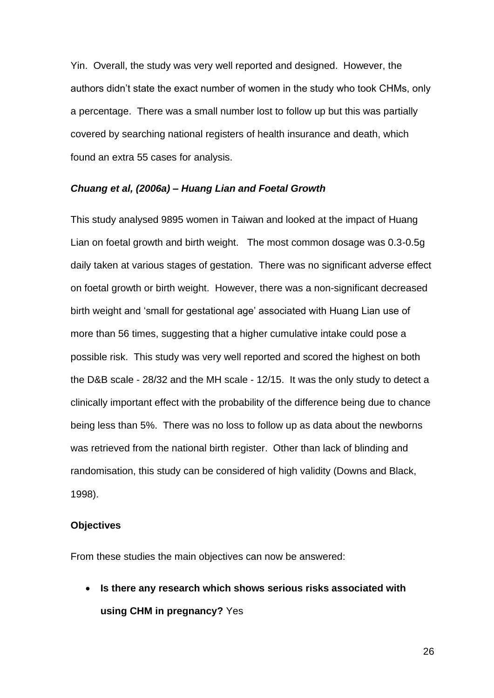Yin. Overall, the study was very well reported and designed. However, the authors didn't state the exact number of women in the study who took CHMs, only a percentage. There was a small number lost to follow up but this was partially covered by searching national registers of health insurance and death, which found an extra 55 cases for analysis.

#### *Chuang et al, (2006a) – Huang Lian and Foetal Growth*

This study analysed 9895 women in Taiwan and looked at the impact of Huang Lian on foetal growth and birth weight. The most common dosage was 0.3-0.5g daily taken at various stages of gestation. There was no significant adverse effect on foetal growth or birth weight. However, there was a non-significant decreased birth weight and 'small for gestational age' associated with Huang Lian use of more than 56 times, suggesting that a higher cumulative intake could pose a possible risk. This study was very well reported and scored the highest on both the D&B scale - 28/32 and the MH scale - 12/15. It was the only study to detect a clinically important effect with the probability of the difference being due to chance being less than 5%. There was no loss to follow up as data about the newborns was retrieved from the national birth register. Other than lack of blinding and randomisation, this study can be considered of high validity (Downs and Black, 1998).

#### **Objectives**

From these studies the main objectives can now be answered:

• **Is there any research which shows serious risks associated with using CHM in pregnancy?** Yes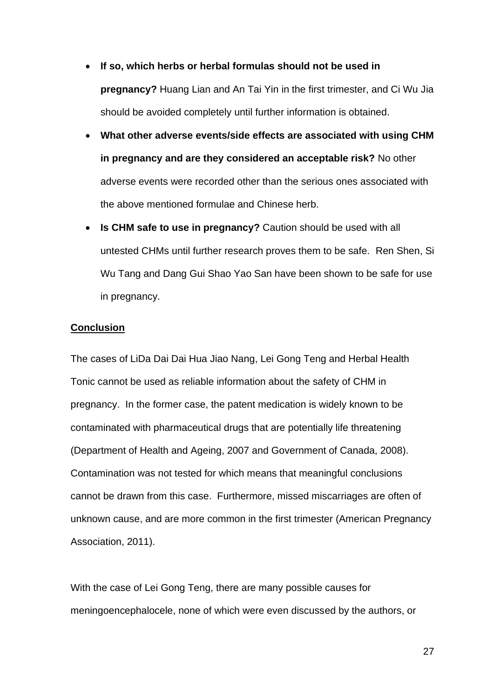- **If so, which herbs or herbal formulas should not be used in pregnancy?** Huang Lian and An Tai Yin in the first trimester, and Ci Wu Jia should be avoided completely until further information is obtained.
- **What other adverse events/side effects are associated with using CHM in pregnancy and are they considered an acceptable risk?** No other adverse events were recorded other than the serious ones associated with the above mentioned formulae and Chinese herb.
- **Is CHM safe to use in pregnancy?** Caution should be used with all untested CHMs until further research proves them to be safe. Ren Shen, Si Wu Tang and Dang Gui Shao Yao San have been shown to be safe for use in pregnancy.

### **Conclusion**

The cases of LiDa Dai Dai Hua Jiao Nang, Lei Gong Teng and Herbal Health Tonic cannot be used as reliable information about the safety of CHM in pregnancy. In the former case, the patent medication is widely known to be contaminated with pharmaceutical drugs that are potentially life threatening (Department of Health and Ageing, 2007 and Government of Canada, 2008). Contamination was not tested for which means that meaningful conclusions cannot be drawn from this case. Furthermore, missed miscarriages are often of unknown cause, and are more common in the first trimester (American Pregnancy Association, 2011).

With the case of Lei Gong Teng, there are many possible causes for meningoencephalocele, none of which were even discussed by the authors, or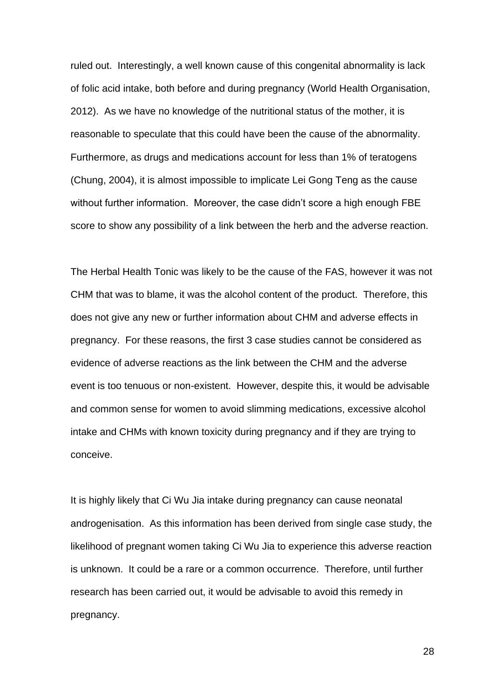ruled out. Interestingly, a well known cause of this congenital abnormality is lack of folic acid intake, both before and during pregnancy (World Health Organisation, 2012). As we have no knowledge of the nutritional status of the mother, it is reasonable to speculate that this could have been the cause of the abnormality. Furthermore, as drugs and medications account for less than 1% of teratogens (Chung, 2004), it is almost impossible to implicate Lei Gong Teng as the cause without further information. Moreover, the case didn't score a high enough FBE score to show any possibility of a link between the herb and the adverse reaction.

The Herbal Health Tonic was likely to be the cause of the FAS, however it was not CHM that was to blame, it was the alcohol content of the product. Therefore, this does not give any new or further information about CHM and adverse effects in pregnancy. For these reasons, the first 3 case studies cannot be considered as evidence of adverse reactions as the link between the CHM and the adverse event is too tenuous or non-existent. However, despite this, it would be advisable and common sense for women to avoid slimming medications, excessive alcohol intake and CHMs with known toxicity during pregnancy and if they are trying to conceive.

It is highly likely that Ci Wu Jia intake during pregnancy can cause neonatal androgenisation. As this information has been derived from single case study, the likelihood of pregnant women taking Ci Wu Jia to experience this adverse reaction is unknown. It could be a rare or a common occurrence. Therefore, until further research has been carried out, it would be advisable to avoid this remedy in pregnancy.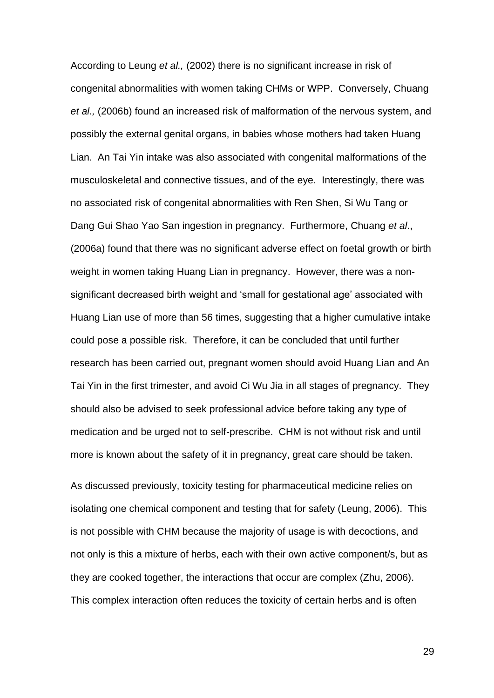According to Leung *et al.,* (2002) there is no significant increase in risk of congenital abnormalities with women taking CHMs or WPP. Conversely, Chuang *et al.,* (2006b) found an increased risk of malformation of the nervous system, and possibly the external genital organs, in babies whose mothers had taken Huang Lian. An Tai Yin intake was also associated with congenital malformations of the musculoskeletal and connective tissues, and of the eye. Interestingly, there was no associated risk of congenital abnormalities with Ren Shen, Si Wu Tang or Dang Gui Shao Yao San ingestion in pregnancy. Furthermore, Chuang *et al*., (2006a) found that there was no significant adverse effect on foetal growth or birth weight in women taking Huang Lian in pregnancy. However, there was a nonsignificant decreased birth weight and 'small for gestational age' associated with Huang Lian use of more than 56 times, suggesting that a higher cumulative intake could pose a possible risk. Therefore, it can be concluded that until further research has been carried out, pregnant women should avoid Huang Lian and An Tai Yin in the first trimester, and avoid Ci Wu Jia in all stages of pregnancy. They should also be advised to seek professional advice before taking any type of medication and be urged not to self-prescribe. CHM is not without risk and until more is known about the safety of it in pregnancy, great care should be taken.

As discussed previously, toxicity testing for pharmaceutical medicine relies on isolating one chemical component and testing that for safety (Leung, 2006). This is not possible with CHM because the majority of usage is with decoctions, and not only is this a mixture of herbs, each with their own active component/s, but as they are cooked together, the interactions that occur are complex (Zhu, 2006). This complex interaction often reduces the toxicity of certain herbs and is often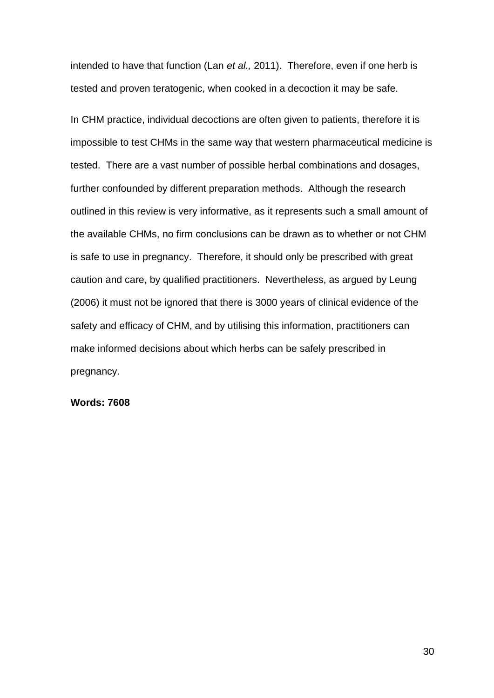intended to have that function (Lan *et al.,* 2011). Therefore, even if one herb is tested and proven teratogenic, when cooked in a decoction it may be safe.

In CHM practice, individual decoctions are often given to patients, therefore it is impossible to test CHMs in the same way that western pharmaceutical medicine is tested. There are a vast number of possible herbal combinations and dosages, further confounded by different preparation methods. Although the research outlined in this review is very informative, as it represents such a small amount of the available CHMs, no firm conclusions can be drawn as to whether or not CHM is safe to use in pregnancy. Therefore, it should only be prescribed with great caution and care, by qualified practitioners. Nevertheless, as argued by Leung (2006) it must not be ignored that there is 3000 years of clinical evidence of the safety and efficacy of CHM, and by utilising this information, practitioners can make informed decisions about which herbs can be safely prescribed in pregnancy.

**Words: 7608**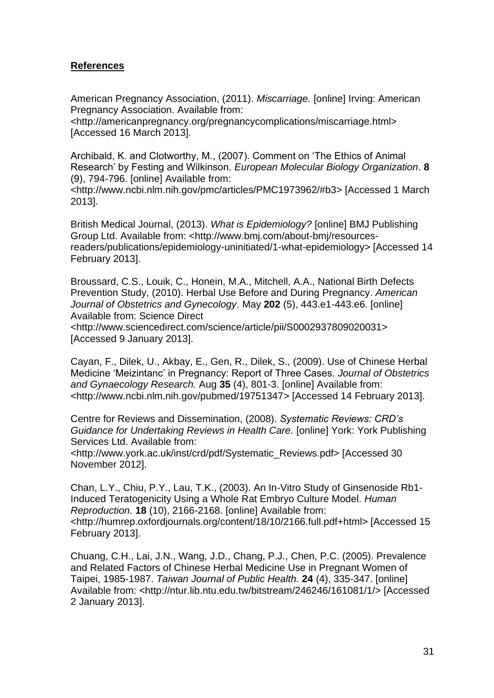# **References**

American Pregnancy Association, (2011). *Miscarriage.* [online] Irving: American Pregnancy Association. Available from:

<http://americanpregnancy.org/pregnancycomplications/miscarriage.html> [Accessed 16 March 2013].

Archibald, K. and Clotworthy, M., (2007). Comment on 'The Ethics of Animal Research' by Festing and Wilkinson. *European Molecular Biology Organization*. **8**  (9), 794-796. [online] Available from:

<http://www.ncbi.nlm.nih.gov/pmc/articles/PMC1973962/#b3> [Accessed 1 March 2013].

British Medical Journal, (2013). *What is Epidemiology?* [online] BMJ Publishing Group Ltd. Available from: <http://www.bmj.com/about-bmj/resourcesreaders/publications/epidemiology-uninitiated/1-what-epidemiology> [Accessed 14 February 2013].

Broussard, C.S., Louik, C., Honein, M.A., Mitchell, A.A., National Birth Defects Prevention Study, (2010). Herbal Use Before and During Pregnancy. *American Journal of Obstetrics and Gynecology*. May **202** (5), 443.e1-443.e6. [online] Available from: Science Direct

<http://www.sciencedirect.com/science/article/pii/S0002937809020031> [Accessed 9 January 2013].

Cayan, F., Dilek, U., Akbay, E., Gen, R., Dilek, S., (2009). Use of Chinese Herbal Medicine 'Meizintanc' in Pregnancy: Report of Three Cases. *Journal of Obstetrics and Gynaecology Research.* Aug **35** (4), 801-3. [online] Available from: <http://www.ncbi.nlm.nih.gov/pubmed/19751347> [Accessed 14 February 2013].

Centre for Reviews and Dissemination, (2008). *Systematic Reviews: CRD's Guidance for Undertaking Reviews in Health Care.* [online] York: York Publishing Services Ltd. Available from:

<http://www.york.ac.uk/inst/crd/pdf/Systematic\_Reviews.pdf> [Accessed 30 November 2012].

Chan, L.Y., Chiu, P.Y., Lau, T.K., (2003). An In-Vitro Study of Ginsenoside Rb1- Induced Teratogenicity Using a Whole Rat Embryo Culture Model. *Human Reproduction.* **18** (10), 2166-2168. [online] Available from: <http://humrep.oxfordjournals.org/content/18/10/2166.full.pdf+html> [Accessed 15 February 2013].

Chuang, C.H., Lai, J.N., Wang, J.D., Chang, P.J., Chen, P.C. (2005). Prevalence and Related Factors of Chinese Herbal Medicine Use in Pregnant Women of Taipei, 1985-1987. *Taiwan Journal of Public Health.* **24** (4), 335-347. [online] Available from: <http://ntur.lib.ntu.edu.tw/bitstream/246246/161081/1/> [Accessed 2 January 2013].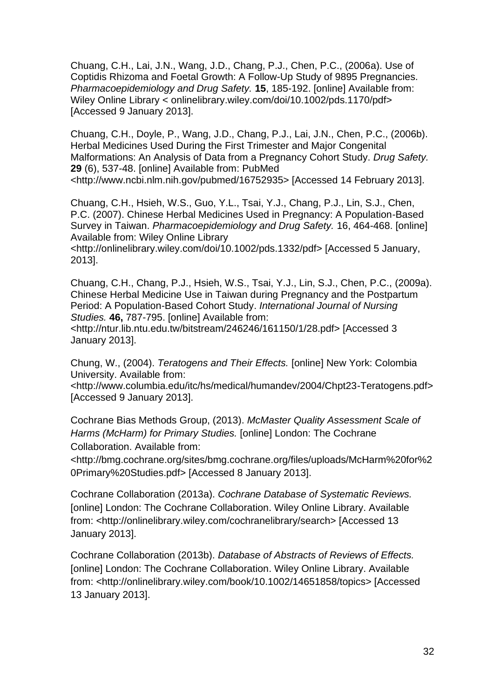Chuang, C.H., Lai, J.N., Wang, J.D., Chang, P.J., Chen, P.C., (2006a). Use of Coptidis Rhizoma and Foetal Growth: A Follow-Up Study of 9895 Pregnancies. *Pharmacoepidemiology and Drug Safety.* **15**, 185-192. [online] Available from: Wiley Online Library < onlinelibrary.wiley.com/doi/10.1002/pds.1170/pdf> [Accessed 9 January 2013].

Chuang, C.H., Doyle, P., Wang, J.D., Chang, P.J., Lai, J.N., Chen, P.C., (2006b). Herbal Medicines Used During the First Trimester and Major Congenital Malformations: An Analysis of Data from a Pregnancy Cohort Study. *Drug Safety.*  **29** (6), 537-48. [online] Available from: PubMed <http://www.ncbi.nlm.nih.gov/pubmed/16752935> [Accessed 14 February 2013].

Chuang, C.H., Hsieh, W.S., Guo, Y.L., Tsai, Y.J., Chang, P.J., Lin, S.J., Chen, P.C. (2007). Chinese Herbal Medicines Used in Pregnancy: A Population-Based Survey in Taiwan. *Pharmacoepidemiology and Drug Safety.* 16, 464-468. [online] Available from: Wiley Online Library

<http://onlinelibrary.wiley.com/doi/10.1002/pds.1332/pdf> [Accessed 5 January, 2013].

Chuang, C.H., Chang, P.J., Hsieh, W.S., Tsai, Y.J., Lin, S.J., Chen, P.C., (2009a). Chinese Herbal Medicine Use in Taiwan during Pregnancy and the Postpartum Period: A Population-Based Cohort Study. *International Journal of Nursing Studies.* **46,** 787-795. [online] Available from:

<http://ntur.lib.ntu.edu.tw/bitstream/246246/161150/1/28.pdf> [Accessed 3 January 2013].

Chung, W., (2004). *Teratogens and Their Effects.* [online] New York: Colombia University. Available from:

<http://www.columbia.edu/itc/hs/medical/humandev/2004/Chpt23-Teratogens.pdf> [Accessed 9 January 2013].

Cochrane Bias Methods Group, (2013). *McMaster Quality Assessment Scale of Harms (McHarm) for Primary Studies.* [online] London: The Cochrane Collaboration. Available from:

<http://bmg.cochrane.org/sites/bmg.cochrane.org/files/uploads/McHarm%20for%2 0Primary%20Studies.pdf> [Accessed 8 January 2013].

Cochrane Collaboration (2013a). *Cochrane Database of Systematic Reviews.*  [online] London: The Cochrane Collaboration. Wiley Online Library. Available from: <http://onlinelibrary.wiley.com/cochranelibrary/search> [Accessed 13 January 2013].

Cochrane Collaboration (2013b). *Database of Abstracts of Reviews of Effects.* [online] London: The Cochrane Collaboration. Wiley Online Library. Available from: <http://onlinelibrary.wiley.com/book/10.1002/14651858/topics> [Accessed 13 January 2013].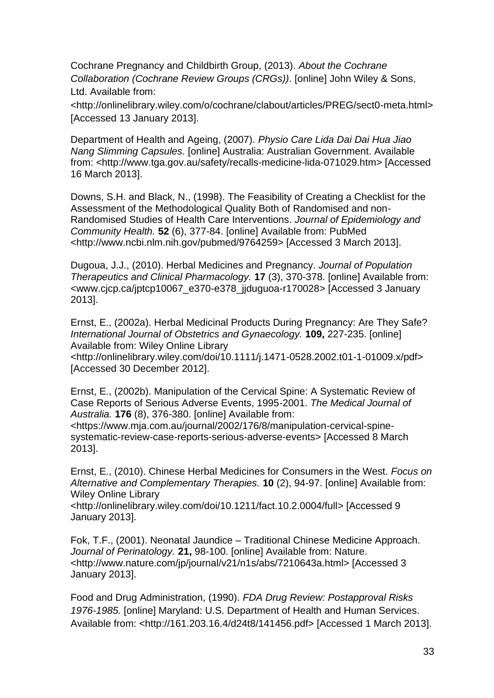Cochrane Pregnancy and Childbirth Group, (2013). *About the Cochrane Collaboration (Cochrane Review Groups (CRGs))*. [online] John Wiley & Sons, Ltd. Available from:

<http://onlinelibrary.wiley.com/o/cochrane/clabout/articles/PREG/sect0-meta.html> [Accessed 13 January 2013].

Department of Health and Ageing, (2007). *Physio Care Lida Dai Dai Hua Jiao Nang Slimming Capsules.* [online] Australia: Australian Government. Available from: <http://www.tga.gov.au/safety/recalls-medicine-lida-071029.htm> [Accessed 16 March 2013].

Downs, S.H. and Black, N., (1998). The Feasibility of Creating a Checklist for the Assessment of the Methodological Quality Both of Randomised and non-Randomised Studies of Health Care Interventions. *Journal of Epidemiology and Community Health.* **52** (6), 377-84. [online] Available from: PubMed <http://www.ncbi.nlm.nih.gov/pubmed/9764259> [Accessed 3 March 2013].

Dugoua, J.J., (2010). Herbal Medicines and Pregnancy. *Journal of Population Therapeutics and Clinical Pharmacology.* **17** (3), 370-378. [online] Available from: <www.cjcp.ca/jptcp10067\_e370-e378\_jjduguoa-r170028*>* [Accessed 3 January 2013].

Ernst, E., (2002a). Herbal Medicinal Products During Pregnancy: Are They Safe? *International Journal of Obstetrics and Gynaecology.* **109,** 227-235. [online] Available from: Wiley Online Library

<http://onlinelibrary.wiley.com/doi/10.1111/j.1471-0528.2002.t01-1-01009.x/pdf> [Accessed 30 December 2012].

Ernst, E., (2002b). Manipulation of the Cervical Spine: A Systematic Review of Case Reports of Serious Adverse Events, 1995-2001. *The Medical Journal of Australia.* **176** (8), 376-380. [online] Available from:

<https://www.mja.com.au/journal/2002/176/8/manipulation-cervical-spinesystematic-review-case-reports-serious-adverse-events> [Accessed 8 March 2013].

Ernst, E., (2010). Chinese Herbal Medicines for Consumers in the West. *Focus on Alternative and Complementary Therapies.* **10** (2), 94-97. [online] Available from: Wiley Online Library

<http://onlinelibrary.wiley.com/doi/10.1211/fact.10.2.0004/full> [Accessed 9 January 2013].

Fok, T.F., (2001). Neonatal Jaundice – Traditional Chinese Medicine Approach. *Journal of Perinatology.* **21,** 98-100. [online] Available from: Nature. <http://www.nature.com/jp/journal/v21/n1s/abs/7210643a.html> [Accessed 3 January 2013].

Food and Drug Administration, (1990). *FDA Drug Review: Postapproval Risks 1976-1985.* [online] Maryland: U.S. Department of Health and Human Services. Available from: <http://161.203.16.4/d24t8/141456.pdf> [Accessed 1 March 2013].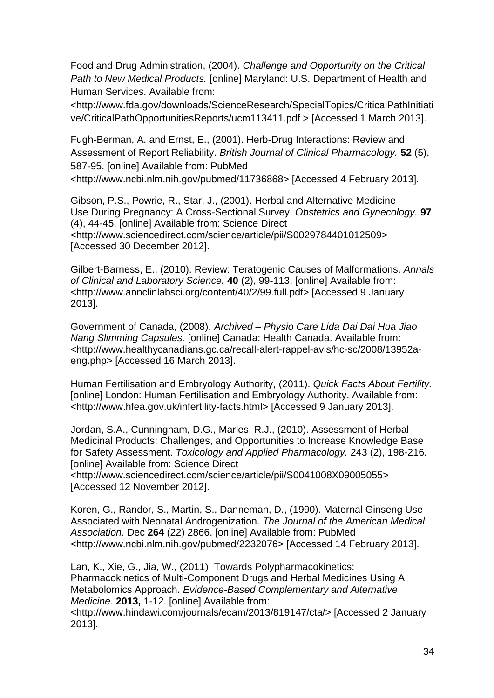Food and Drug Administration, (2004). *Challenge and Opportunity on the Critical Path to New Medical Products.* [online] Maryland: U.S. Department of Health and Human Services. Available from:

<http://www.fda.gov/downloads/ScienceResearch/SpecialTopics/CriticalPathInitiati ve/CriticalPathOpportunitiesReports/ucm113411.pdf > [Accessed 1 March 2013].

Fugh-Berman, A. and Ernst, E., (2001). Herb-Drug Interactions: Review and Assessment of Report Reliability. *British Journal of Clinical Pharmacology.* **52** (5), 587-95. [online] Available from: PubMed

<http://www.ncbi.nlm.nih.gov/pubmed/11736868> [Accessed 4 February 2013].

Gibson, P.S., Powrie, R., Star, J., (2001). Herbal and Alternative Medicine Use During Pregnancy: A Cross-Sectional Survey. *Obstetrics and Gynecology.* **97** (4), 44-45. [online] Available from: Science Direct <http://www.sciencedirect.com/science/article/pii/S0029784401012509> [Accessed 30 December 2012].

Gilbert-Barness, E., (2010). Review: Teratogenic Causes of Malformations. *Annals of Clinical and Laboratory Science.* **40** (2), 99-113. [online] Available from: <http://www.annclinlabsci.org/content/40/2/99.full.pdf> [Accessed 9 January 2013].

Government of Canada, (2008). *Archived – Physio Care Lida Dai Dai Hua Jiao Nang Slimming Capsules.* [online] Canada: Health Canada. Available from: <http://www.healthycanadians.gc.ca/recall-alert-rappel-avis/hc-sc/2008/13952aeng.php> [Accessed 16 March 2013].

Human Fertilisation and Embryology Authority, (2011). *Quick Facts About Fertility.* [online] London: Human Fertilisation and Embryology Authority. Available from: <http://www.hfea.gov.uk/infertility-facts.html> [Accessed 9 January 2013].

Jordan, S.A., Cunningham, D.G., Marles, R.J., (2010). Assessment of Herbal Medicinal Products: Challenges, and Opportunities to Increase Knowledge Base for Safety Assessment. *Toxicology and Applied Pharmacology.* 243 (2), 198-216. [online] Available from: Science Direct

<http://www.sciencedirect.com/science/article/pii/S0041008X09005055> [Accessed 12 November 2012].

Koren, G., Randor, S., Martin, S., Danneman, D., (1990). Maternal Ginseng Use Associated with Neonatal Androgenization. *The Journal of the American Medical Association.* Dec **264** (22) 2866. [online] Available from: PubMed <http://www.ncbi.nlm.nih.gov/pubmed/2232076> [Accessed 14 February 2013].

Lan, K., Xie, G., Jia, W., (2011) Towards Polypharmacokinetics: Pharmacokinetics of Multi-Component Drugs and Herbal Medicines Using A Metabolomics Approach. *Evidence-Based Complementary and Alternative Medicine.* **2013,** 1-12. [online] Available from:

<http://www.hindawi.com/journals/ecam/2013/819147/cta/> [Accessed 2 January 2013].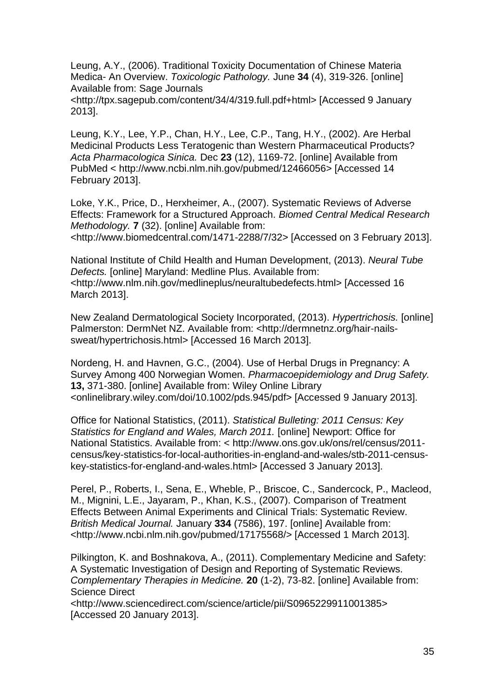Leung, A.Y., (2006). Traditional Toxicity Documentation of Chinese Materia Medica- An Overview. *Toxicologic Pathology.* June **34** (4), 319-326. [online] Available from: Sage Journals

<http://tpx.sagepub.com/content/34/4/319.full.pdf+html> [Accessed 9 January 2013].

Leung, K.Y., Lee, Y.P., Chan, H.Y., Lee, C.P., Tang, H.Y., (2002). Are Herbal Medicinal Products Less Teratogenic than Western Pharmaceutical Products? *Acta Pharmacologica Sinica.* Dec **23** (12), 1169-72. [online] Available from PubMed < http://www.ncbi.nlm.nih.gov/pubmed/12466056> [Accessed 14 February 2013].

Loke, Y.K., Price, D., Herxheimer, A., (2007). Systematic Reviews of Adverse Effects: Framework for a Structured Approach. *Biomed Central Medical Research Methodology.* **7** (32). [online] Available from:

<http://www.biomedcentral.com/1471-2288/7/32> [Accessed on 3 February 2013].

National Institute of Child Health and Human Development, (2013). *Neural Tube Defects.* [online] Maryland: Medline Plus. Available from: <http://www.nlm.nih.gov/medlineplus/neuraltubedefects.html> [Accessed 16 March 2013].

New Zealand Dermatological Society Incorporated, (2013). *Hypertrichosis.* [online] Palmerston: DermNet NZ. Available from: <http://dermnetnz.org/hair-nailssweat/hypertrichosis.html> [Accessed 16 March 2013].

Nordeng, H. and Havnen, G.C., (2004). Use of Herbal Drugs in Pregnancy: A Survey Among 400 Norwegian Women. *Pharmacoepidemiology and Drug Safety.*  **13,** 371-380. [online] Available from: Wiley Online Library <onlinelibrary.wiley.com/doi/10.1002/pds.945/pdf> [Accessed 9 January 2013].

Office for National Statistics, (2011). *Statistical Bulleting: 2011 Census: Key Statistics for England and Wales, March 2011.* [online] Newport: Office for National Statistics. Available from: < http://www.ons.gov.uk/ons/rel/census/2011 census/key-statistics-for-local-authorities-in-england-and-wales/stb-2011-censuskey-statistics-for-england-and-wales.html> [Accessed 3 January 2013].

Perel, P., Roberts, I., Sena, E., Wheble, P., Briscoe, C., Sandercock, P., Macleod, M., Mignini, L.E., Jayaram, P., Khan, K.S., (2007). Comparison of Treatment Effects Between Animal Experiments and Clinical Trials: Systematic Review. *British Medical Journal.* January **334** (7586), 197. [online] Available from: <http://www.ncbi.nlm.nih.gov/pubmed/17175568/> [Accessed 1 March 2013].

Pilkington, K. and Boshnakova, A., (2011). Complementary Medicine and Safety: A Systematic Investigation of Design and Reporting of Systematic Reviews. *Complementary Therapies in Medicine.* **20** (1-2), 73-82. [online] Available from: Science Direct

<http://www.sciencedirect.com/science/article/pii/S0965229911001385> [Accessed 20 January 2013].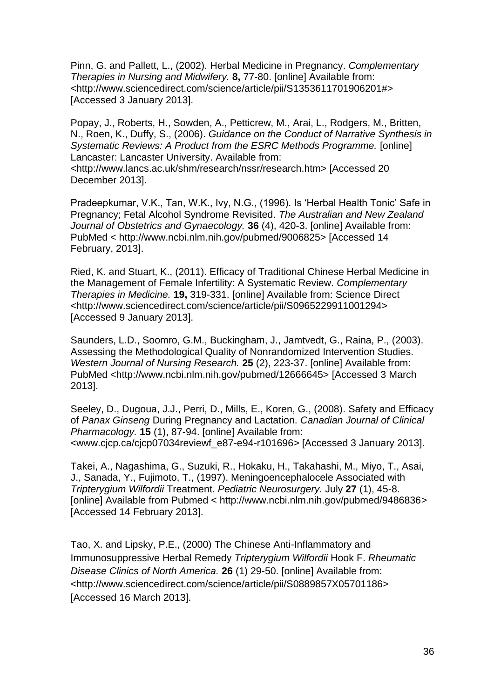Pinn, G. and Pallett, L., (2002). Herbal Medicine in Pregnancy. *Complementary Therapies in Nursing and Midwifery.* **8,** 77-80. [online] Available from: <http://www.sciencedirect.com/science/article/pii/S1353611701906201#> [Accessed 3 January 2013].

Popay, J., Roberts, H., Sowden, A., Petticrew, M., Arai, L., Rodgers, M., Britten, N., Roen, K., Duffy, S., (2006). *Guidance on the Conduct of Narrative Synthesis in Systematic Reviews: A Product from the ESRC Methods Programme.* [online] Lancaster: Lancaster University. Available from: <http://www.lancs.ac.uk/shm/research/nssr/research.htm> [Accessed 20

December 2013].

Pradeepkumar, V.K., Tan, W.K., Ivy, N.G., (1996). Is 'Herbal Health Tonic' Safe in Pregnancy; Fetal Alcohol Syndrome Revisited. *The Australian and New Zealand Journal of Obstetrics and Gynaecology.* **36** (4), 420-3. [online] Available from: PubMed < http://www.ncbi.nlm.nih.gov/pubmed/9006825> [Accessed 14 February, 2013].

Ried, K. and Stuart, K., (2011). Efficacy of Traditional Chinese Herbal Medicine in the Management of Female Infertility: A Systematic Review. *Complementary Therapies in Medicine.* **19,** 319-331. [online] Available from: Science Direct <http://www.sciencedirect.com/science/article/pii/S0965229911001294> [Accessed 9 January 2013].

Saunders, L.D., Soomro, G.M., Buckingham, J., Jamtvedt, G., Raina, P., (2003). Assessing the Methodological Quality of Nonrandomized Intervention Studies. *Western Journal of Nursing Research.* **25** (2), 223-37. [online] Available from: PubMed <http://www.ncbi.nlm.nih.gov/pubmed/12666645> [Accessed 3 March 2013].

Seeley, D., Dugoua, J.J., Perri, D., Mills, E., Koren, G., (2008). Safety and Efficacy of *Panax Ginseng* During Pregnancy and Lactation. *Canadian Journal of Clinical Pharmacology.* **15** (1), 87-94. [online] Available from: <www.cjcp.ca/cjcp07034reviewf\_e87-e94-r101696*>* [Accessed 3 January 2013].

Takei, A., Nagashima, G., Suzuki, R., Hokaku, H., Takahashi, M., Miyo, T., Asai, J., Sanada, Y., Fujimoto, T., (1997). Meningoencephalocele Associated with *Tripterygium Wilfordii* Treatment. *Pediatric Neurosurgery.* July **27** (1), 45-8. [online] Available from Pubmed < http://www.ncbi.nlm.nih.gov/pubmed/9486836> [Accessed 14 February 2013].

Tao, X. and Lipsky, P.E., (2000) The Chinese Anti-Inflammatory and Immunosuppressive Herbal Remedy *Tripterygium Wilfordii* Hook F. *Rheumatic Disease Clinics of North America.* **26** (1) 29-50. [online] Available from: <http://www.sciencedirect.com/science/article/pii/S0889857X05701186> [Accessed 16 March 2013].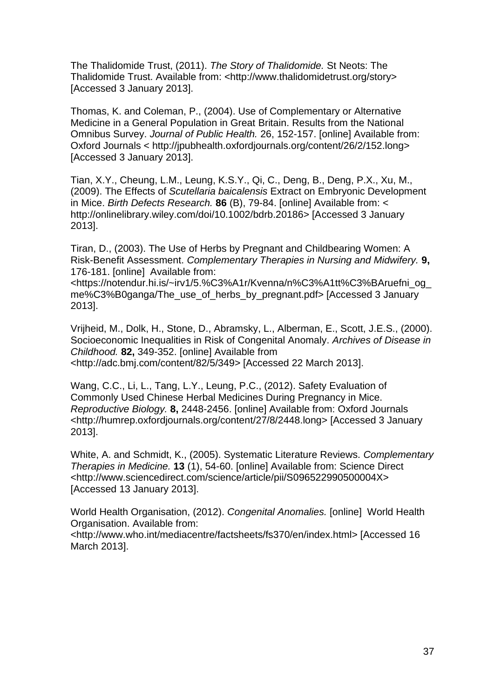The Thalidomide Trust, (2011). *The Story of Thalidomide.* St Neots: The Thalidomide Trust. Available from: <http://www.thalidomidetrust.org/story> [Accessed 3 January 2013].

Thomas, K. and Coleman, P., (2004). Use of Complementary or Alternative Medicine in a General Population in Great Britain. Results from the National Omnibus Survey. *Journal of Public Health.* 26, 152-157. [online] Available from: Oxford Journals < http://jpubhealth.oxfordjournals.org/content/26/2/152.long> [Accessed 3 January 2013].

Tian, X.Y., Cheung, L.M., Leung, K.S.Y., Qi, C., Deng, B., Deng, P.X., Xu, M., (2009). The Effects of *Scutellaria baicalensis* Extract on Embryonic Development in Mice. *Birth Defects Research.* **86** (B), 79-84. [online] Available from: < http://onlinelibrary.wiley.com/doi/10.1002/bdrb.20186> [Accessed 3 January 2013].

Tiran, D., (2003). The Use of Herbs by Pregnant and Childbearing Women: A Risk-Benefit Assessment. *Complementary Therapies in Nursing and Midwifery.* **9,**  176-181. [online] Available from:

<https://notendur.hi.is/~irv1/5.%C3%A1r/Kvenna/n%C3%A1tt%C3%BAruefni\_og\_ me%C3%B0ganga/The\_use\_of\_herbs\_by\_pregnant.pdf> [Accessed 3 January 2013].

Vrijheid, M., Dolk, H., Stone, D., Abramsky, L., Alberman, E., Scott, J.E.S., (2000). Socioeconomic Inequalities in Risk of Congenital Anomaly. *Archives of Disease in Childhood.* **82,** 349-352. [online] Available from <http://adc.bmj.com/content/82/5/349> [Accessed 22 March 2013].

Wang, C.C., Li, L., Tang, L.Y., Leung, P.C., (2012). Safety Evaluation of Commonly Used Chinese Herbal Medicines During Pregnancy in Mice. *Reproductive Biology.* **8,** 2448-2456. [online] Available from: Oxford Journals <http://humrep.oxfordjournals.org/content/27/8/2448.long> [Accessed 3 January 2013].

White, A. and Schmidt, K., (2005). Systematic Literature Reviews. *Complementary Therapies in Medicine.* **13** (1), 54-60. [online] Available from: Science Direct <http://www.sciencedirect.com/science/article/pii/S096522990500004X> [Accessed 13 January 2013].

World Health Organisation, (2012). *Congenital Anomalies.* [online] World Health Organisation. Available from:

<http://www.who.int/mediacentre/factsheets/fs370/en/index.html> [Accessed 16 March 2013].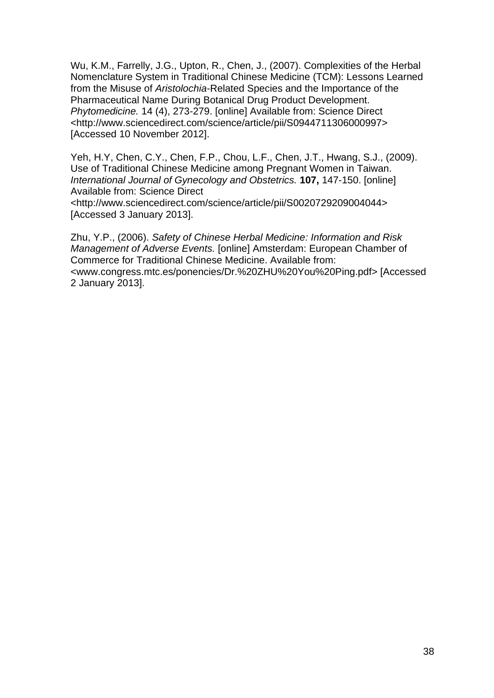Wu, K.M., Farrelly, J.G., Upton, R., Chen, J., (2007). Complexities of the Herbal Nomenclature System in Traditional Chinese Medicine (TCM): Lessons Learned from the Misuse of *Aristolochia*-Related Species and the Importance of the Pharmaceutical Name During Botanical Drug Product Development. *Phytomedicine.* 14 (4), 273-279. [online] Available from: Science Direct <http://www.sciencedirect.com/science/article/pii/S0944711306000997> [Accessed 10 November 2012].

Yeh, H.Y, Chen, C.Y., Chen, F.P., Chou, L.F., Chen, J.T., Hwang, S.J., (2009). Use of Traditional Chinese Medicine among Pregnant Women in Taiwan. *International Journal of Gynecology and Obstetrics.* **107,** 147-150. [online] Available from: Science Direct <http://www.sciencedirect.com/science/article/pii/S0020729209004044> [Accessed 3 January 2013].

Zhu, Y.P., (2006). *Safety of Chinese Herbal Medicine: Information and Risk Management of Adverse Events.* [online] Amsterdam: European Chamber of Commerce for Traditional Chinese Medicine. Available from: <www.congress.mtc.es/ponencies/Dr.%20ZHU%20You%20Ping.pdf> [Accessed 2 January 2013].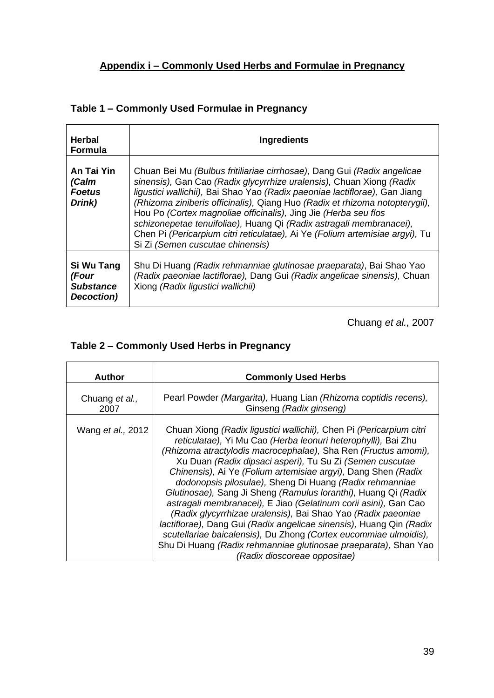| Herbal<br><b>Formula</b>                              | Ingredients                                                                                                                                                                                                                                                                                                                                                                                                                                                                                                                                                                |
|-------------------------------------------------------|----------------------------------------------------------------------------------------------------------------------------------------------------------------------------------------------------------------------------------------------------------------------------------------------------------------------------------------------------------------------------------------------------------------------------------------------------------------------------------------------------------------------------------------------------------------------------|
| An Tai Yin<br>(Calm<br><b>Foetus</b><br>Drink)        | Chuan Bei Mu (Bulbus fritiliariae cirrhosae), Dang Gui (Radix angelicae<br>sinensis), Gan Cao (Radix glycyrrhize uralensis), Chuan Xiong (Radix<br>ligustici wallichii), Bai Shao Yao (Radix paeoniae lactiflorae), Gan Jiang<br>(Rhizoma ziniberis officinalis), Qiang Huo (Radix et rhizoma notopterygii),<br>Hou Po (Cortex magnoliae officinalis), Jing Jie (Herba seu flos<br>schizonepetae tenuifoliae), Huang Qi (Radix astragali membranacei),<br>Chen Pi (Pericarpium citri reticulatae), Ai Ye (Folium artemisiae argyi), Tu<br>Si Zi (Semen cuscutae chinensis) |
| Si Wu Tang<br>(Four<br><b>Substance</b><br>Decoction) | Shu Di Huang <i>(Radix rehmanniae glutinosae praeparata)</i> , Bai Shao Yao<br>(Radix paeoniae lactiflorae), Dang Gui (Radix angelicae sinensis), Chuan<br>Xiong (Radix ligustici wallichii)                                                                                                                                                                                                                                                                                                                                                                               |

Chuang *et al.,* 2007

# **Table 2 – Commonly Used Herbs in Pregnancy**

÷

| <b>Author</b>             | <b>Commonly Used Herbs</b>                                                                                                                                                                                                                                                                                                                                                                                                                                                                                                                                                                                                                                                                                                                                                                                                                        |  |  |  |  |
|---------------------------|---------------------------------------------------------------------------------------------------------------------------------------------------------------------------------------------------------------------------------------------------------------------------------------------------------------------------------------------------------------------------------------------------------------------------------------------------------------------------------------------------------------------------------------------------------------------------------------------------------------------------------------------------------------------------------------------------------------------------------------------------------------------------------------------------------------------------------------------------|--|--|--|--|
| Chuang et al.,<br>2007    | Pearl Powder (Margarita), Huang Lian (Rhizoma coptidis recens),<br>Ginseng (Radix ginseng)                                                                                                                                                                                                                                                                                                                                                                                                                                                                                                                                                                                                                                                                                                                                                        |  |  |  |  |
| Wang <i>et al.</i> , 2012 | Chuan Xiong (Radix ligustici wallichii), Chen Pi (Pericarpium citri<br>reticulatae), Yi Mu Cao (Herba leonuri heterophylli), Bai Zhu<br>(Rhizoma atractylodis macrocephalae), Sha Ren (Fructus amomi),<br>Xu Duan (Radix dipsaci asperi), Tu Su Zi (Semen cuscutae<br>Chinensis), Ai Ye (Folium artemisiae argyi), Dang Shen (Radix<br>dodonopsis pilosulae), Sheng Di Huang (Radix rehmanniae<br>Glutinosae), Sang Ji Sheng (Ramulus loranthi), Huang Qi (Radix<br>astragali membranacei), E Jiao (Gelatinum corii asini), Gan Cao<br>(Radix glycyrrhizae uralensis), Bai Shao Yao (Radix paeoniae<br>lactiflorae), Dang Gui (Radix angelicae sinensis), Huang Qin (Radix<br>scutellariae baicalensis), Du Zhong (Cortex eucommiae ulmoidis),<br>Shu Di Huang (Radix rehmanniae glutinosae praeparata), Shan Yao<br>(Radix dioscoreae oppositae) |  |  |  |  |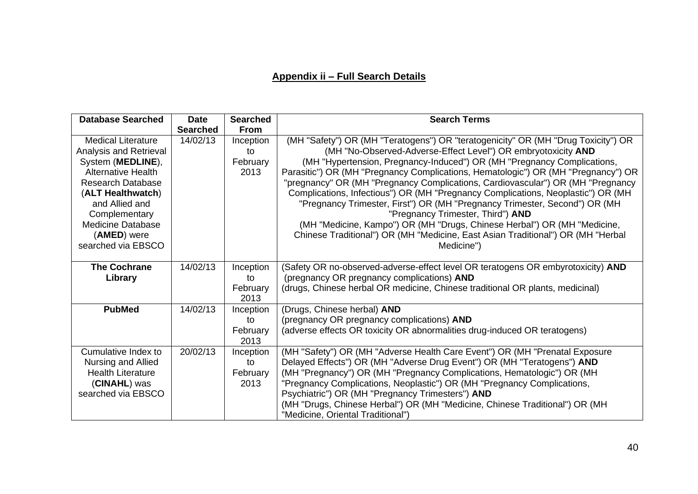# **Appendix ii – Full Search Details**

| <b>Database Searched</b>                                                                                                                                                                                                                                   | <b>Date</b><br><b>Searched</b> | <b>Searched</b><br><b>From</b>      | <b>Search Terms</b>                                                                                                                                                                                                                                                                                                                                                                                                                                                                                                                                                                                                                                                                                                                                                                       |  |  |
|------------------------------------------------------------------------------------------------------------------------------------------------------------------------------------------------------------------------------------------------------------|--------------------------------|-------------------------------------|-------------------------------------------------------------------------------------------------------------------------------------------------------------------------------------------------------------------------------------------------------------------------------------------------------------------------------------------------------------------------------------------------------------------------------------------------------------------------------------------------------------------------------------------------------------------------------------------------------------------------------------------------------------------------------------------------------------------------------------------------------------------------------------------|--|--|
| <b>Medical Literature</b><br>Analysis and Retrieval<br>System (MEDLINE),<br><b>Alternative Health</b><br><b>Research Database</b><br>(ALT Healthwatch)<br>and Allied and<br>Complementary<br><b>Medicine Database</b><br>(AMED) were<br>searched via EBSCO | 14/02/13                       | Inception<br>to<br>February<br>2013 | (MH "Safety") OR (MH "Teratogens") OR "teratogenicity" OR (MH "Drug Toxicity") OR<br>(MH "No-Observed-Adverse-Effect Level") OR embryotoxicity AND<br>(MH "Hypertension, Pregnancy-Induced") OR (MH "Pregnancy Complications,<br>Parasitic") OR (MH "Pregnancy Complications, Hematologic") OR (MH "Pregnancy") OR<br>"pregnancy" OR (MH "Pregnancy Complications, Cardiovascular") OR (MH "Pregnancy<br>Complications, Infectious") OR (MH "Pregnancy Complications, Neoplastic") OR (MH<br>"Pregnancy Trimester, First") OR (MH "Pregnancy Trimester, Second") OR (MH<br>"Pregnancy Trimester, Third") AND<br>(MH "Medicine, Kampo") OR (MH "Drugs, Chinese Herbal") OR (MH "Medicine,<br>Chinese Traditional") OR (MH "Medicine, East Asian Traditional") OR (MH "Herbal<br>Medicine") |  |  |
| <b>The Cochrane</b><br>Library                                                                                                                                                                                                                             | 14/02/13                       | Inception<br>to<br>February<br>2013 | (Safety OR no-observed-adverse-effect level OR teratogens OR embyrotoxicity) AND<br>(pregnancy OR pregnancy complications) AND<br>(drugs, Chinese herbal OR medicine, Chinese traditional OR plants, medicinal)                                                                                                                                                                                                                                                                                                                                                                                                                                                                                                                                                                           |  |  |
| <b>PubMed</b>                                                                                                                                                                                                                                              | 14/02/13                       | Inception<br>to<br>February<br>2013 | (Drugs, Chinese herbal) AND<br>(pregnancy OR pregnancy complications) AND<br>(adverse effects OR toxicity OR abnormalities drug-induced OR teratogens)                                                                                                                                                                                                                                                                                                                                                                                                                                                                                                                                                                                                                                    |  |  |
| Cumulative Index to<br>Nursing and Allied<br><b>Health Literature</b><br>(CINAHL) was<br>searched via EBSCO                                                                                                                                                | 20/02/13                       | Inception<br>to<br>February<br>2013 | (MH "Safety") OR (MH "Adverse Health Care Event") OR (MH "Prenatal Exposure<br>Delayed Effects") OR (MH "Adverse Drug Event") OR (MH "Teratogens") AND<br>(MH "Pregnancy") OR (MH "Pregnancy Complications, Hematologic") OR (MH<br>"Pregnancy Complications, Neoplastic") OR (MH "Pregnancy Complications,<br>Psychiatric") OR (MH "Pregnancy Trimesters") AND<br>(MH "Drugs, Chinese Herbal") OR (MH "Medicine, Chinese Traditional") OR (MH<br>"Medicine, Oriental Traditional")                                                                                                                                                                                                                                                                                                       |  |  |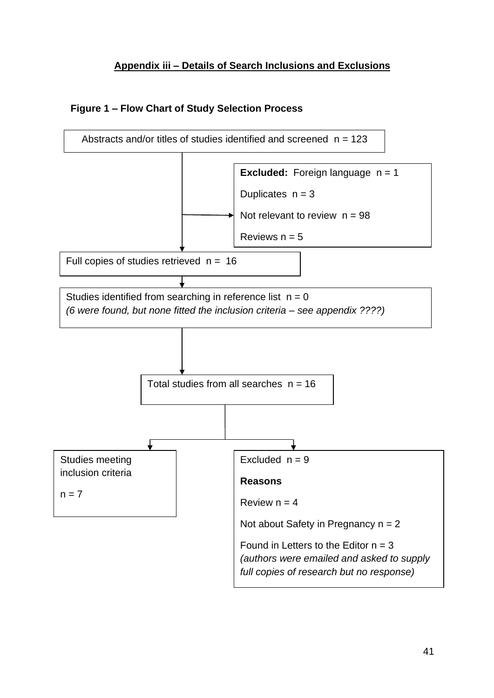# **Appendix iii – Details of Search Inclusions and Exclusions**

# **Figure 1 – Flow Chart of Study Selection Process**

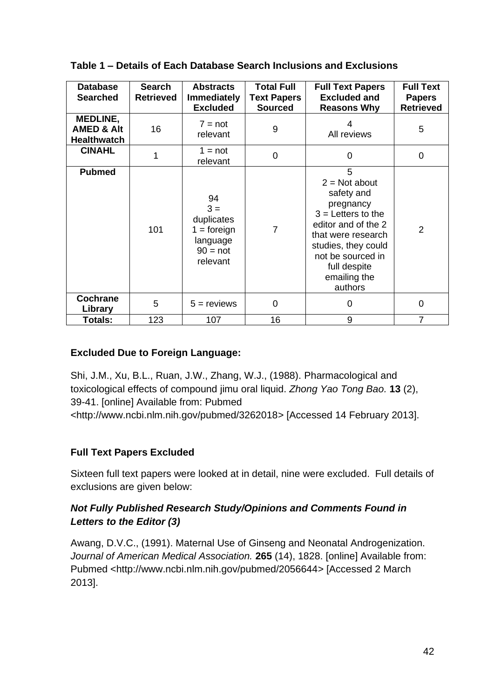| <b>Database</b><br><b>Searched</b>                      | Search<br><b>Retrieved</b> | <b>Abstracts</b><br><b>Immediately</b><br><b>Excluded</b>                        | <b>Total Full</b><br><b>Text Papers</b><br><b>Sourced</b> | <b>Full Text Papers</b><br><b>Excluded and</b><br><b>Reasons Why</b>                                                                                                                                        | <b>Full Text</b><br><b>Papers</b><br><b>Retrieved</b> |
|---------------------------------------------------------|----------------------------|----------------------------------------------------------------------------------|-----------------------------------------------------------|-------------------------------------------------------------------------------------------------------------------------------------------------------------------------------------------------------------|-------------------------------------------------------|
| MEDLINE,<br><b>AMED &amp; Alt</b><br><b>Healthwatch</b> | 16                         | $7 = not$<br>relevant                                                            | 9                                                         | 4<br>All reviews                                                                                                                                                                                            | 5                                                     |
| <b>CINAHL</b>                                           | 1                          | $1 = not$<br>relevant                                                            | $\overline{0}$                                            | 0                                                                                                                                                                                                           | $\overline{0}$                                        |
| <b>Pubmed</b>                                           | 101                        | 94<br>$3 =$<br>duplicates<br>$1 =$ foreign<br>language<br>$90 = not$<br>relevant | $\overline{7}$                                            | 5<br>$2 = Not about$<br>safety and<br>pregnancy<br>$3 =$ Letters to the<br>editor and of the 2<br>that were research<br>studies, they could<br>not be sourced in<br>full despite<br>emailing the<br>authors | $\overline{2}$                                        |
| Cochrane<br>Library                                     | 5                          | $5 =$ reviews                                                                    | $\Omega$                                                  | $\Omega$                                                                                                                                                                                                    | $\overline{0}$                                        |
| <b>Totals:</b>                                          | 123                        | 107                                                                              | 16                                                        | 9                                                                                                                                                                                                           | 7                                                     |

# **Table 1 – Details of Each Database Search Inclusions and Exclusions**

# **Excluded Due to Foreign Language:**

Shi, J.M., Xu, B.L., Ruan, J.W., Zhang, W.J., (1988). Pharmacological and toxicological effects of compound jimu oral liquid. *Zhong Yao Tong Bao.* **13** (2), 39-41. [online] Available from: Pubmed

<http://www.ncbi.nlm.nih.gov/pubmed/3262018> [Accessed 14 February 2013].

# **Full Text Papers Excluded**

Sixteen full text papers were looked at in detail, nine were excluded. Full details of exclusions are given below:

# *Not Fully Published Research Study/Opinions and Comments Found in Letters to the Editor (3)*

Awang, D.V.C., (1991). Maternal Use of Ginseng and Neonatal Androgenization. *Journal of American Medical Association.* **265** (14), 1828. [online] Available from: Pubmed <http://www.ncbi.nlm.nih.gov/pubmed/2056644> [Accessed 2 March 2013].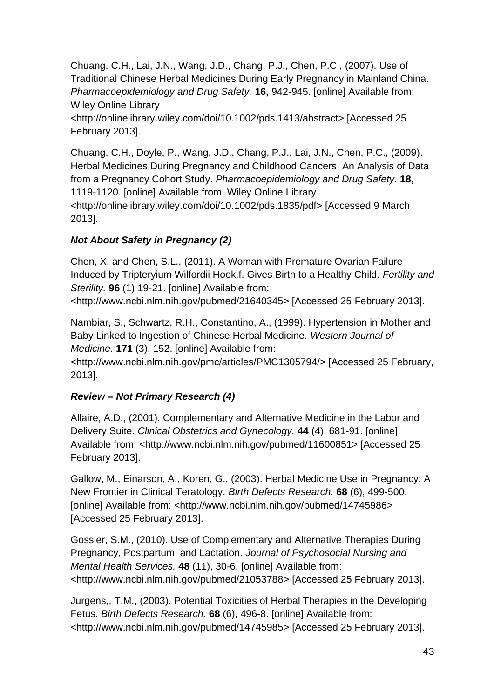Chuang, C.H., Lai, J.N., Wang, J.D., Chang, P.J., Chen, P.C., (2007). Use of Traditional Chinese Herbal Medicines During Early Pregnancy in Mainland China. *Pharmacoepidemiology and Drug Safety.* **16,** 942-945. [online] Available from: Wiley Online Library

<http://onlinelibrary.wiley.com/doi/10.1002/pds.1413/abstract> [Accessed 25 February 2013].

Chuang, C.H., Doyle, P., Wang, J.D., Chang, P.J., Lai, J.N., Chen, P.C., (2009). Herbal Medicines During Pregnancy and Childhood Cancers: An Analysis of Data from a Pregnancy Cohort Study. *Pharmacoepidemiology and Drug Safety.* **18,**  1119-1120. [online] Available from: Wiley Online Library <http://onlinelibrary.wiley.com/doi/10.1002/pds.1835/pdf> [Accessed 9 March 2013].

# *Not About Safety in Pregnancy (2)*

Chen, X. and Chen, S.L., (2011). A Woman with Premature Ovarian Failure Induced by Tripteryium Wilfordii Hook.f. Gives Birth to a Healthy Child. *Fertility and Sterility.* **96** (1) 19-21. [online] Available from:

<http://www.ncbi.nlm.nih.gov/pubmed/21640345> [Accessed 25 February 2013].

Nambiar, S., Schwartz, R.H., Constantino, A., (1999). Hypertension in Mother and Baby Linked to Ingestion of Chinese Herbal Medicine. *Western Journal of Medicine.* **171** (3), 152. [online] Available from:

<http://www.ncbi.nlm.nih.gov/pmc/articles/PMC1305794/> [Accessed 25 February, 2013].

# *Review – Not Primary Research (4)*

Allaire, A.D., (2001). Complementary and Alternative Medicine in the Labor and Delivery Suite. *Clinical Obstetrics and Gynecology.* **44** (4), 681-91. [online] Available from: <http://www.ncbi.nlm.nih.gov/pubmed/11600851> [Accessed 25 February 2013].

Gallow, M., Einarson, A., Koren, G., (2003). Herbal Medicine Use in Pregnancy: A New Frontier in Clinical Teratology. *Birth Defects Research.* **68** (6), 499-500. [online] Available from: <http://www.ncbi.nlm.nih.gov/pubmed/14745986> [Accessed 25 February 2013].

Gossler, S.M., (2010). Use of Complementary and Alternative Therapies During Pregnancy, Postpartum, and Lactation. *Journal of Psychosocial Nursing and Mental Health Services.* **48** (11), 30-6. [online] Available from: <http://www.ncbi.nlm.nih.gov/pubmed/21053788> [Accessed 25 February 2013].

Jurgens,, T.M., (2003). Potential Toxicities of Herbal Therapies in the Developing Fetus. *Birth Defects Research.* **68** (6), 496-8. [online] Available from: <http://www.ncbi.nlm.nih.gov/pubmed/14745985> [Accessed 25 February 2013].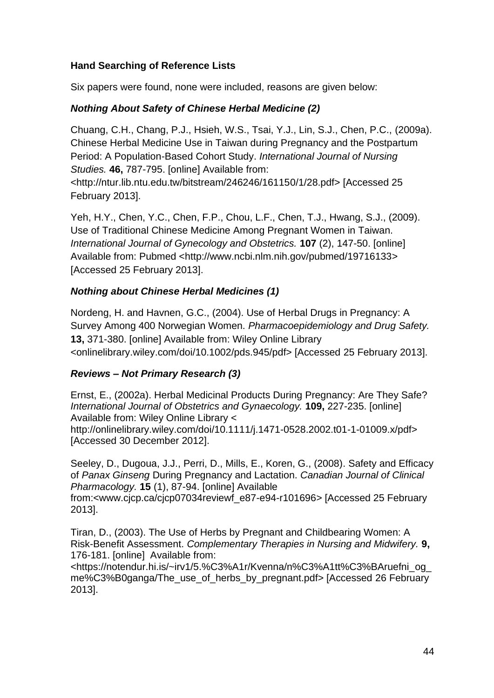# **Hand Searching of Reference Lists**

Six papers were found, none were included, reasons are given below:

# *Nothing About Safety of Chinese Herbal Medicine (2)*

Chuang, C.H., Chang, P.J., Hsieh, W.S., Tsai, Y.J., Lin, S.J., Chen, P.C., (2009a). Chinese Herbal Medicine Use in Taiwan during Pregnancy and the Postpartum Period: A Population-Based Cohort Study. *International Journal of Nursing Studies.* **46,** 787-795. [online] Available from:

<http://ntur.lib.ntu.edu.tw/bitstream/246246/161150/1/28.pdf> [Accessed 25 February 2013].

Yeh, H.Y., Chen, Y.C., Chen, F.P., Chou, L.F., Chen, T.J., Hwang, S.J., (2009). Use of Traditional Chinese Medicine Among Pregnant Women in Taiwan. *International Journal of Gynecology and Obstetrics.* **107** (2), 147-50. [online] Available from: Pubmed <http://www.ncbi.nlm.nih.gov/pubmed/19716133> [Accessed 25 February 2013].

# *Nothing about Chinese Herbal Medicines (1)*

Nordeng, H. and Havnen, G.C., (2004). Use of Herbal Drugs in Pregnancy: A Survey Among 400 Norwegian Women. *Pharmacoepidemiology and Drug Safety.*  **13,** 371-380. [online] Available from: Wiley Online Library <onlinelibrary.wiley.com/doi/10.1002/pds.945/pdf> [Accessed 25 February 2013].

# *Reviews – Not Primary Research (3)*

Ernst, E., (2002a). Herbal Medicinal Products During Pregnancy: Are They Safe? *International Journal of Obstetrics and Gynaecology.* **109,** 227-235. [online] Available from: Wiley Online Library < http://onlinelibrary.wiley.com/doi/10.1111/j.1471-0528.2002.t01-1-01009.x/pdf> [Accessed 30 December 2012].

Seeley, D., Dugoua, J.J., Perri, D., Mills, E., Koren, G., (2008). Safety and Efficacy of *Panax Ginseng* During Pregnancy and Lactation. *Canadian Journal of Clinical Pharmacology.* **15** (1), 87-94. [online] Available

from:<www.cjcp.ca/cjcp07034reviewf\_e87-e94-r101696*>* [Accessed 25 February 2013].

Tiran, D., (2003). The Use of Herbs by Pregnant and Childbearing Women: A Risk-Benefit Assessment. *Complementary Therapies in Nursing and Midwifery.* **9,**  176-181. [online] Available from:

<https://notendur.hi.is/~irv1/5.%C3%A1r/Kvenna/n%C3%A1tt%C3%BAruefni\_og\_ me%C3%B0ganga/The\_use\_of\_herbs\_by\_pregnant.pdf> [Accessed 26 February 2013].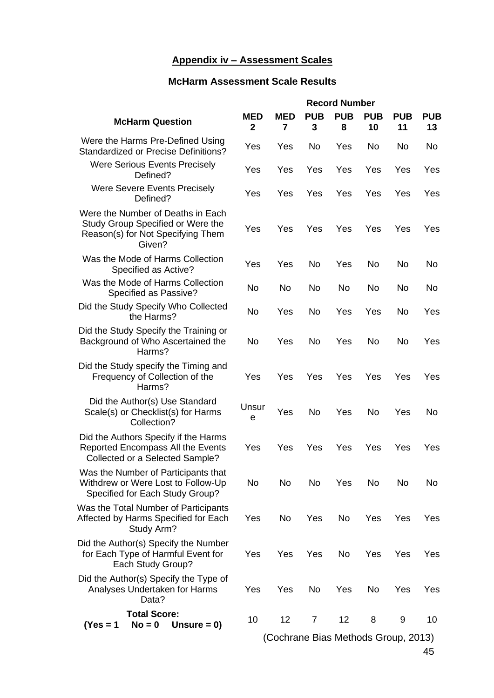# **Appendix iv – Assessment Scales**

# **McHarm Assessment Scale Results**

|                                                                                                                       | <b>Record Number</b>       |                                     |                 |                 |                  |                  |                  |
|-----------------------------------------------------------------------------------------------------------------------|----------------------------|-------------------------------------|-----------------|-----------------|------------------|------------------|------------------|
| <b>McHarm Question</b>                                                                                                | <b>MED</b><br>$\mathbf{2}$ | <b>MED</b><br>7                     | <b>PUB</b><br>3 | <b>PUB</b><br>8 | <b>PUB</b><br>10 | <b>PUB</b><br>11 | <b>PUB</b><br>13 |
| Were the Harms Pre-Defined Using<br><b>Standardized or Precise Definitions?</b>                                       | Yes                        | Yes                                 | <b>No</b>       | Yes             | No               | No               | No               |
| <b>Were Serious Events Precisely</b><br>Defined?                                                                      | Yes                        | Yes                                 | Yes             | Yes             | Yes              | Yes              | Yes              |
| <b>Were Severe Events Precisely</b><br>Defined?                                                                       | Yes                        | Yes                                 | Yes             | Yes             | Yes              | Yes              | Yes              |
| Were the Number of Deaths in Each<br>Study Group Specified or Were the<br>Reason(s) for Not Specifying Them<br>Given? | Yes                        | Yes                                 | Yes             | Yes             | Yes              | Yes              | Yes              |
| Was the Mode of Harms Collection<br>Specified as Active?                                                              | Yes                        | Yes                                 | <b>No</b>       | Yes             | No               | No               | No               |
| Was the Mode of Harms Collection<br>Specified as Passive?                                                             | <b>No</b>                  | No                                  | <b>No</b>       | No              | No               | No               | No               |
| Did the Study Specify Who Collected<br>the Harms?                                                                     | No                         | Yes                                 | <b>No</b>       | Yes             | Yes              | No               | Yes              |
| Did the Study Specify the Training or<br>Background of Who Ascertained the<br>Harms?                                  | <b>No</b>                  | Yes                                 | <b>No</b>       | Yes             | <b>No</b>        | <b>No</b>        | Yes              |
| Did the Study specify the Timing and<br>Frequency of Collection of the<br>Harms?                                      | Yes                        | Yes                                 | Yes             | Yes             | Yes              | Yes              | Yes              |
| Did the Author(s) Use Standard<br>Scale(s) or Checklist(s) for Harms<br>Collection?                                   | Unsur<br>е                 | Yes                                 | <b>No</b>       | Yes             | No               | Yes              | No               |
| Did the Authors Specify if the Harms<br>Reported Encompass All the Events<br>Collected or a Selected Sample?          | Yes                        | Yes                                 | Yes             | Yes             | Yes              | Yes              | Yes              |
| Was the Number of Participants that<br>Withdrew or Were Lost to Follow-Up<br>Specified for Each Study Group?          | No                         | No                                  | No              | Yes             | No               | No               | No               |
| Was the Total Number of Participants<br>Affected by Harms Specified for Each<br>Study Arm?                            | Yes                        | <b>No</b>                           | Yes             | <b>No</b>       | Yes              | Yes              | Yes              |
| Did the Author(s) Specify the Number<br>for Each Type of Harmful Event for<br>Each Study Group?                       | Yes                        | Yes                                 | Yes             | No              | Yes              | Yes              | Yes              |
| Did the Author(s) Specify the Type of<br>Analyses Undertaken for Harms<br>Data?                                       | Yes                        | Yes                                 | No              | Yes             | No               | Yes              | Yes              |
| <b>Total Score:</b><br>$No = 0$<br>Unsure $= 0$ )<br>(Yes = 1)                                                        | 10                         | 12                                  | 7               | 12              | 8                | 9                | 10               |
|                                                                                                                       |                            | (Cochrane Bias Methods Group, 2013) |                 |                 |                  |                  | 45               |
|                                                                                                                       |                            |                                     |                 |                 |                  |                  |                  |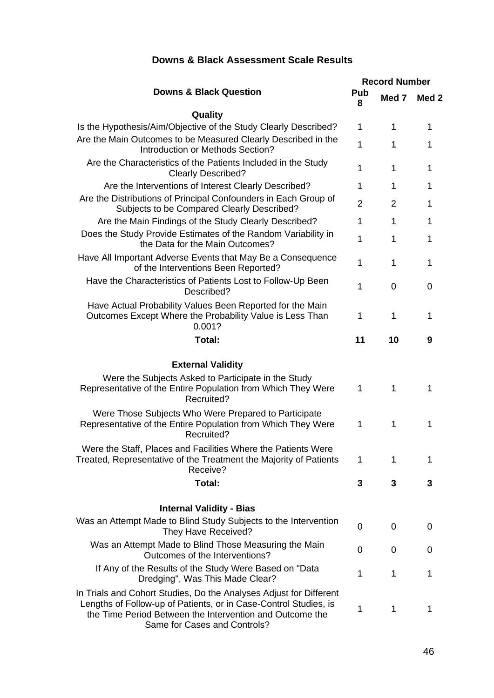#### **Downs & Black Question Record Number Pub 8 Med 7 Med 2 Quality** Is the Hypothesis/Aim/Objective of the Study Clearly Described? 1 1 1 1 Are the Main Outcomes to be Measured Clearly Described in the Introduction or Methods Section?<br>Introduction or Methods Section? Are the Characteristics of the Patients Included in the Study Clearly Described?<br>Clearly Described? Are the Interventions of Interest Clearly Described? 1 1 1 1 Are the Distributions of Principal Confounders in Each Group of Subditions of Principal Computation Facti Group of Table 2 2 1<br>Subjects to be Compared Clearly Described? Are the Main Findings of the Study Clearly Described? 1 1 1 1 Does the Study Provide Estimates of the Random Variability in y Provide Estimates of the Nandom Vanability in the Data for the Main Outcomes? Have All Important Adverse Events that May Be a Consequence of the Interventions Been Reported?<br>The Interventions Been Reported? Have the Characteristics of Patients Lost to Follow-Up Been  $\begin{array}{ccc} 1 & 0 & 0 \end{array}$ Have Actual Probability Values Been Reported for the Main Outcomes Except Where the Probability Value is Less Than 0.001? 1 1 1 **Total: 11 10 9 External Validity** Were the Subjects Asked to Participate in the Study Representative of the Entire Population from Which They Were Recruited? 1 1 1 Were Those Subjects Who Were Prepared to Participate Representative of the Entire Population from Which They Were Recruited? 1 1 1 Were the Staff, Places and Facilities Where the Patients Were Treated, Representative of the Treatment the Majority of Patients Receive? 1 1 1 **Total: 3 3 3 Internal Validity - Bias** Was an Attempt Made to Blind Study Subjects to the Intervention e to billio study subjects to the intervention discussion of the process of the process of the process of the  $\frac{1}{2}$ Was an Attempt Made to Blind Those Measuring the Main The Made to Billid Those Measuring the Main<br>Outcomes of the Interventions? If Any of the Results of the Study Were Based on "Data le Results of the Study were Based on Data<br>Dredging", Was This Made Clear? In Trials and Cohort Studies, Do the Analyses Adjust for Different Lengths of Follow-up of Patients, or in Case-Control Studies, is the Time Period Between the Intervention and Outcome the 1 1 1

Same for Cases and Controls?

# **Downs & Black Assessment Scale Results**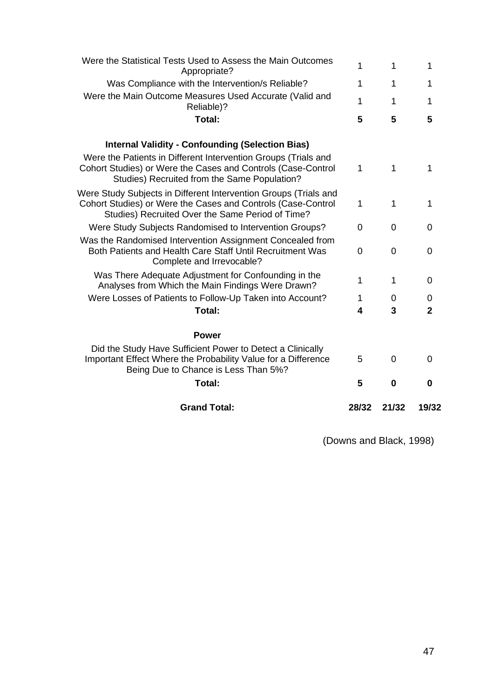| Were the Statistical Tests Used to Assess the Main Outcomes<br>Appropriate?                                                                                                          | 1              | 1        | 1            |
|--------------------------------------------------------------------------------------------------------------------------------------------------------------------------------------|----------------|----------|--------------|
| Was Compliance with the Intervention/s Reliable?                                                                                                                                     | 1              | 1        | 1            |
| Were the Main Outcome Measures Used Accurate (Valid and<br>Reliable)?                                                                                                                | 1              | 1        | 1            |
| Total:                                                                                                                                                                               | 5              | 5        | 5            |
| <b>Internal Validity - Confounding (Selection Bias)</b>                                                                                                                              |                |          |              |
| Were the Patients in Different Intervention Groups (Trials and<br>Cohort Studies) or Were the Cases and Controls (Case-Control<br>Studies) Recruited from the Same Population?       | 1              | 1        | 1            |
| Were Study Subjects in Different Intervention Groups (Trials and<br>Cohort Studies) or Were the Cases and Controls (Case-Control<br>Studies) Recruited Over the Same Period of Time? | 1              | 1        | 1            |
| Were Study Subjects Randomised to Intervention Groups?                                                                                                                               | 0              | 0        | 0            |
| Was the Randomised Intervention Assignment Concealed from<br>Both Patients and Health Care Staff Until Recruitment Was<br>Complete and Irrevocable?                                  | $\overline{0}$ | $\Omega$ | 0            |
| Was There Adequate Adjustment for Confounding in the<br>Analyses from Which the Main Findings Were Drawn?                                                                            | 1              | 1        | 0            |
| Were Losses of Patients to Follow-Up Taken into Account?                                                                                                                             | 1              | 0        | 0            |
| Total:                                                                                                                                                                               | 4              | 3        | $\mathbf{2}$ |
| <b>Power</b>                                                                                                                                                                         |                |          |              |
| Did the Study Have Sufficient Power to Detect a Clinically<br>Important Effect Where the Probability Value for a Difference<br>Being Due to Chance is Less Than 5%?                  | 5              | 0        | 0            |
| Total:                                                                                                                                                                               | 5              | 0        | O            |
| <b>Grand Total:</b>                                                                                                                                                                  | 28/32          | 21/32    | 19/32        |
|                                                                                                                                                                                      |                |          |              |

(Downs and Black, 1998)